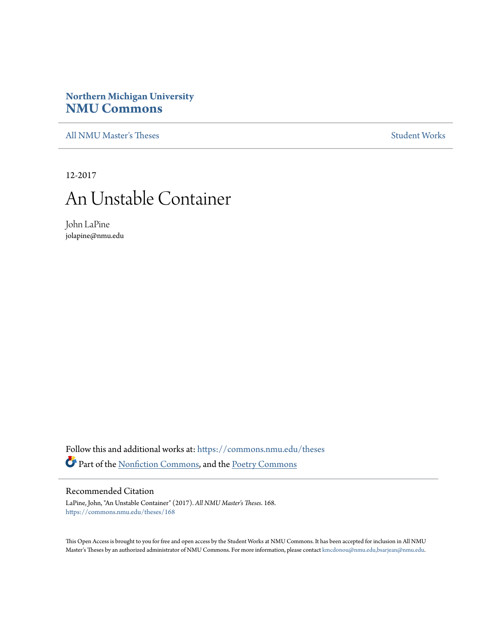# **Northern Michigan University [NMU Commons](https://commons.nmu.edu?utm_source=commons.nmu.edu%2Ftheses%2F168&utm_medium=PDF&utm_campaign=PDFCoverPages)**

[All NMU Master's Theses](https://commons.nmu.edu/theses?utm_source=commons.nmu.edu%2Ftheses%2F168&utm_medium=PDF&utm_campaign=PDFCoverPages) [Student Works](https://commons.nmu.edu/student_works?utm_source=commons.nmu.edu%2Ftheses%2F168&utm_medium=PDF&utm_campaign=PDFCoverPages)

12-2017

# An Unstable Container

John LaPine jolapine@nmu.edu

Follow this and additional works at: [https://commons.nmu.edu/theses](https://commons.nmu.edu/theses?utm_source=commons.nmu.edu%2Ftheses%2F168&utm_medium=PDF&utm_campaign=PDFCoverPages) Part of the [Nonfiction Commons](http://network.bepress.com/hgg/discipline/1152?utm_source=commons.nmu.edu%2Ftheses%2F168&utm_medium=PDF&utm_campaign=PDFCoverPages), and the [Poetry Commons](http://network.bepress.com/hgg/discipline/1153?utm_source=commons.nmu.edu%2Ftheses%2F168&utm_medium=PDF&utm_campaign=PDFCoverPages)

### Recommended Citation

LaPine, John, "An Unstable Container" (2017). *All NMU Master's Theses*. 168. [https://commons.nmu.edu/theses/168](https://commons.nmu.edu/theses/168?utm_source=commons.nmu.edu%2Ftheses%2F168&utm_medium=PDF&utm_campaign=PDFCoverPages)

This Open Access is brought to you for free and open access by the Student Works at NMU Commons. It has been accepted for inclusion in All NMU Master's Theses by an authorized administrator of NMU Commons. For more information, please contact [kmcdonou@nmu.edu,bsarjean@nmu.edu.](mailto:kmcdonou@nmu.edu,bsarjean@nmu.edu)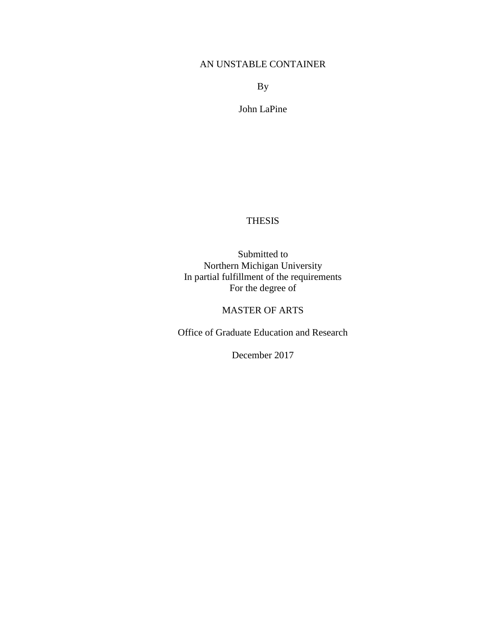# AN UNSTABLE CONTAINER

By

John LaPine

# THESIS

Submitted to Northern Michigan University In partial fulfillment of the requirements For the degree of

# MASTER OF ARTS

Office of Graduate Education and Research

December 2017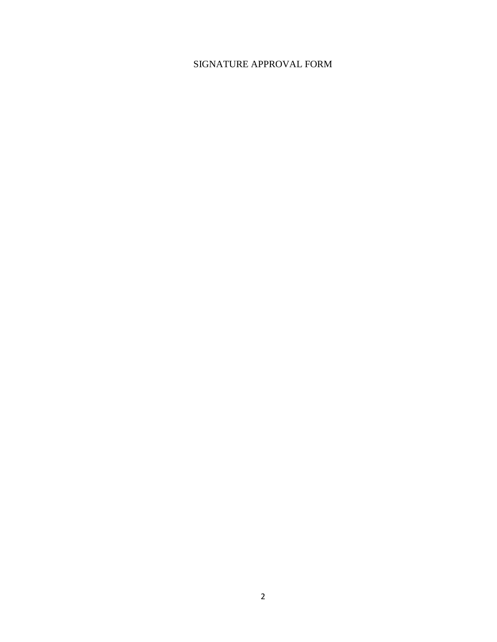# SIGNATURE APPROVAL FORM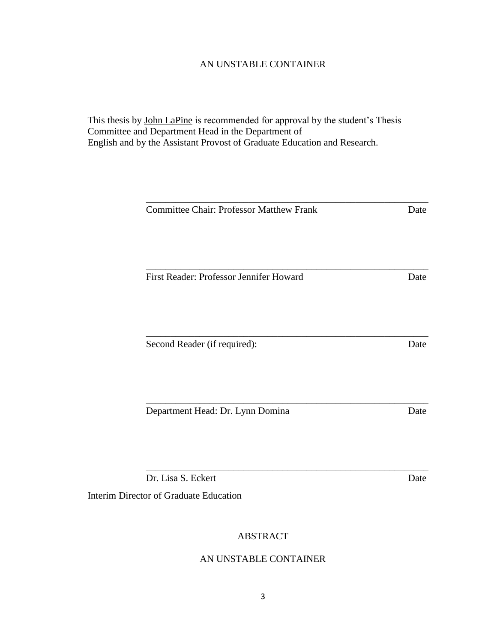# AN UNSTABLE CONTAINER

\_\_\_\_\_\_\_\_\_\_\_\_\_\_\_\_\_\_\_\_\_\_\_\_\_\_\_\_\_\_\_\_\_\_\_\_\_\_\_\_\_\_\_\_\_\_\_\_\_\_\_\_\_\_\_\_\_\_

This thesis by John LaPine is recommended for approval by the student's Thesis Committee and Department Head in the Department of English and by the Assistant Provost of Graduate Education and Research.

| <b>Committee Chair: Professor Matthew Frank</b>              | Date |
|--------------------------------------------------------------|------|
| First Reader: Professor Jennifer Howard                      | Date |
|                                                              |      |
| Second Reader (if required):                                 | Date |
| Department Head: Dr. Lynn Domina                             | Date |
| Dr. Lisa S. Eckert<br>Interim Director of Graduate Education | Date |
|                                                              |      |

# ABSTRACT

# AN UNSTABLE CONTAINER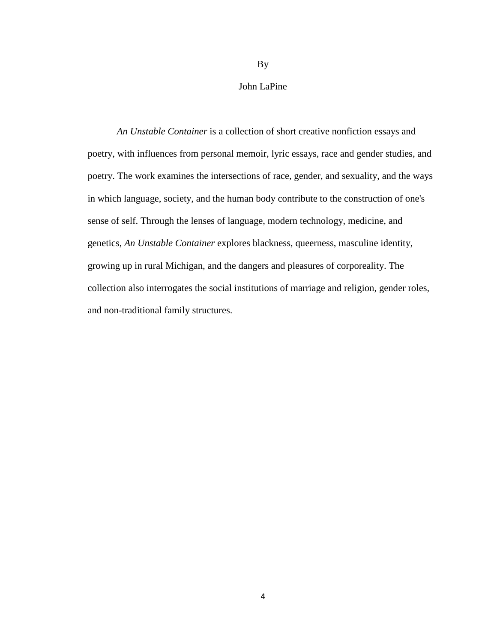John LaPine

By

*An Unstable Container* is a collection of short creative nonfiction essays and poetry, with influences from personal memoir, lyric essays, race and gender studies, and poetry. The work examines the intersections of race, gender, and sexuality, and the ways in which language, society, and the human body contribute to the construction of one's sense of self. Through the lenses of language, modern technology, medicine, and genetics, *An Unstable Container* explores blackness, queerness, masculine identity, growing up in rural Michigan, and the dangers and pleasures of corporeality. The collection also interrogates the social institutions of marriage and religion, gender roles, and non-traditional family structures.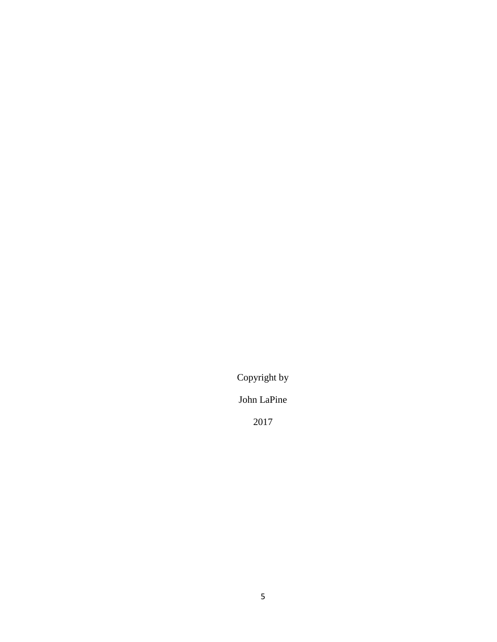Copyright by

John LaPine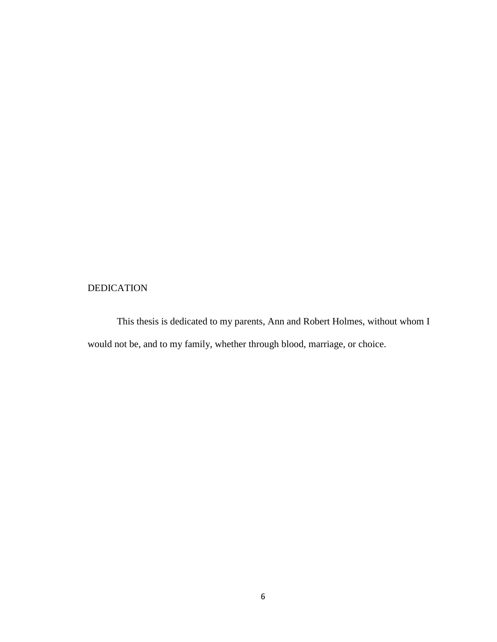# DEDICATION

This thesis is dedicated to my parents, Ann and Robert Holmes, without whom I would not be, and to my family, whether through blood, marriage, or choice.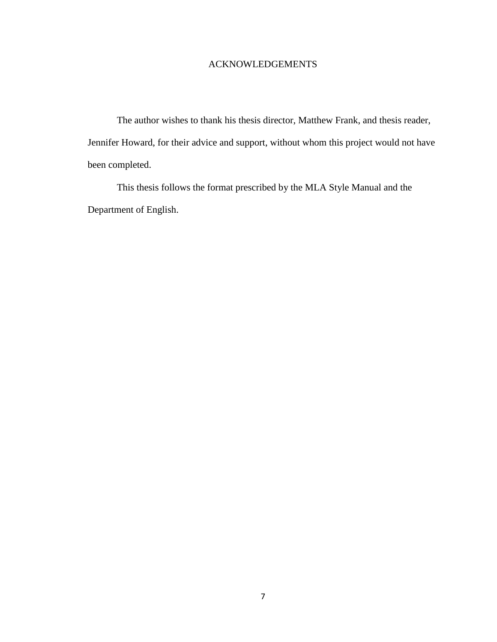# ACKNOWLEDGEMENTS

The author wishes to thank his thesis director, Matthew Frank, and thesis reader, Jennifer Howard, for their advice and support, without whom this project would not have been completed.

This thesis follows the format prescribed by the MLA Style Manual and the Department of English.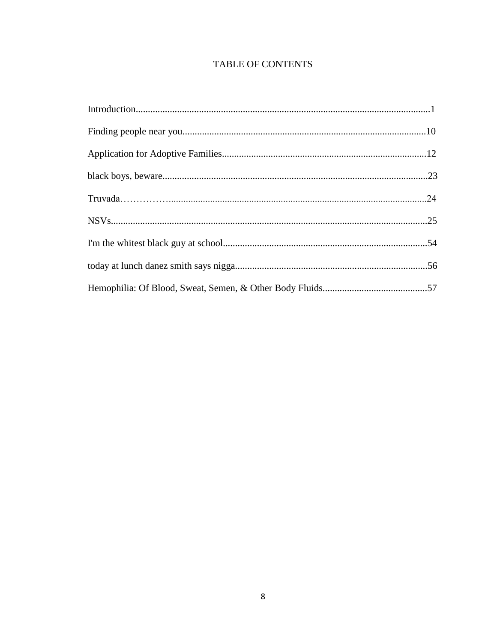# TABLE OF CONTENTS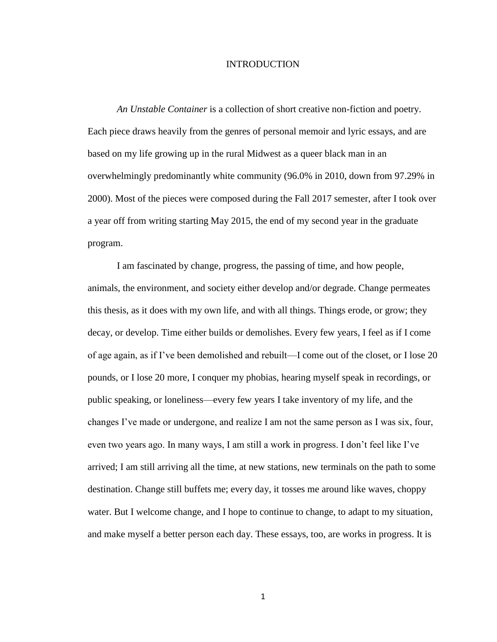#### INTRODUCTION

*An Unstable Container* is a collection of short creative non-fiction and poetry. Each piece draws heavily from the genres of personal memoir and lyric essays, and are based on my life growing up in the rural Midwest as a queer black man in an overwhelmingly predominantly white community (96.0% in 2010, down from 97.29% in 2000). Most of the pieces were composed during the Fall 2017 semester, after I took over a year off from writing starting May 2015, the end of my second year in the graduate program.

I am fascinated by change, progress, the passing of time, and how people, animals, the environment, and society either develop and/or degrade. Change permeates this thesis, as it does with my own life, and with all things. Things erode, or grow; they decay, or develop. Time either builds or demolishes. Every few years, I feel as if I come of age again, as if I've been demolished and rebuilt—I come out of the closet, or I lose 20 pounds, or I lose 20 more, I conquer my phobias, hearing myself speak in recordings, or public speaking, or loneliness—every few years I take inventory of my life, and the changes I've made or undergone, and realize I am not the same person as I was six, four, even two years ago. In many ways, I am still a work in progress. I don't feel like I've arrived; I am still arriving all the time, at new stations, new terminals on the path to some destination. Change still buffets me; every day, it tosses me around like waves, choppy water. But I welcome change, and I hope to continue to change, to adapt to my situation, and make myself a better person each day. These essays, too, are works in progress. It is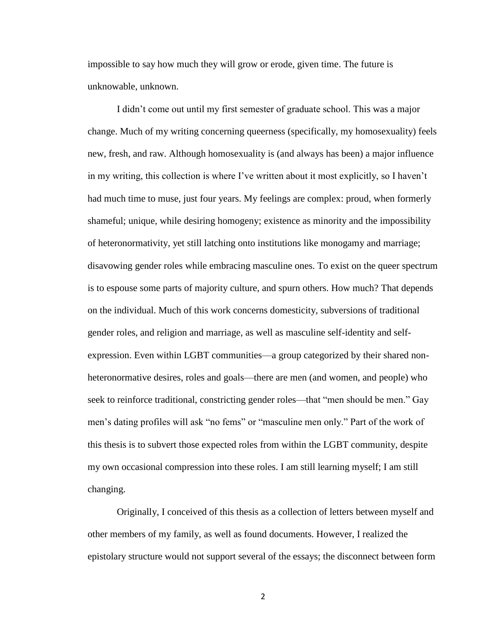impossible to say how much they will grow or erode, given time. The future is unknowable, unknown.

I didn't come out until my first semester of graduate school. This was a major change. Much of my writing concerning queerness (specifically, my homosexuality) feels new, fresh, and raw. Although homosexuality is (and always has been) a major influence in my writing, this collection is where I've written about it most explicitly, so I haven't had much time to muse, just four years. My feelings are complex: proud, when formerly shameful; unique, while desiring homogeny; existence as minority and the impossibility of heteronormativity, yet still latching onto institutions like monogamy and marriage; disavowing gender roles while embracing masculine ones. To exist on the queer spectrum is to espouse some parts of majority culture, and spurn others. How much? That depends on the individual. Much of this work concerns domesticity, subversions of traditional gender roles, and religion and marriage, as well as masculine self-identity and selfexpression. Even within LGBT communities—a group categorized by their shared nonheteronormative desires, roles and goals—there are men (and women, and people) who seek to reinforce traditional, constricting gender roles—that "men should be men." Gay men's dating profiles will ask "no fems" or "masculine men only." Part of the work of this thesis is to subvert those expected roles from within the LGBT community, despite my own occasional compression into these roles. I am still learning myself; I am still changing.

Originally, I conceived of this thesis as a collection of letters between myself and other members of my family, as well as found documents. However, I realized the epistolary structure would not support several of the essays; the disconnect between form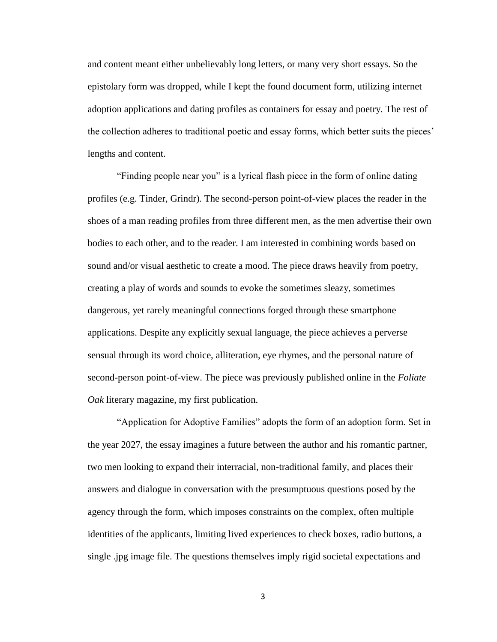and content meant either unbelievably long letters, or many very short essays. So the epistolary form was dropped, while I kept the found document form, utilizing internet adoption applications and dating profiles as containers for essay and poetry. The rest of the collection adheres to traditional poetic and essay forms, which better suits the pieces' lengths and content.

"Finding people near you" is a lyrical flash piece in the form of online dating profiles (e.g. Tinder, Grindr). The second-person point-of-view places the reader in the shoes of a man reading profiles from three different men, as the men advertise their own bodies to each other, and to the reader. I am interested in combining words based on sound and/or visual aesthetic to create a mood. The piece draws heavily from poetry, creating a play of words and sounds to evoke the sometimes sleazy, sometimes dangerous, yet rarely meaningful connections forged through these smartphone applications. Despite any explicitly sexual language, the piece achieves a perverse sensual through its word choice, alliteration, eye rhymes, and the personal nature of second-person point-of-view. The piece was previously published online in the *Foliate Oak* literary magazine, my first publication.

"Application for Adoptive Families" adopts the form of an adoption form. Set in the year 2027, the essay imagines a future between the author and his romantic partner, two men looking to expand their interracial, non-traditional family, and places their answers and dialogue in conversation with the presumptuous questions posed by the agency through the form, which imposes constraints on the complex, often multiple identities of the applicants, limiting lived experiences to check boxes, radio buttons, a single .jpg image file. The questions themselves imply rigid societal expectations and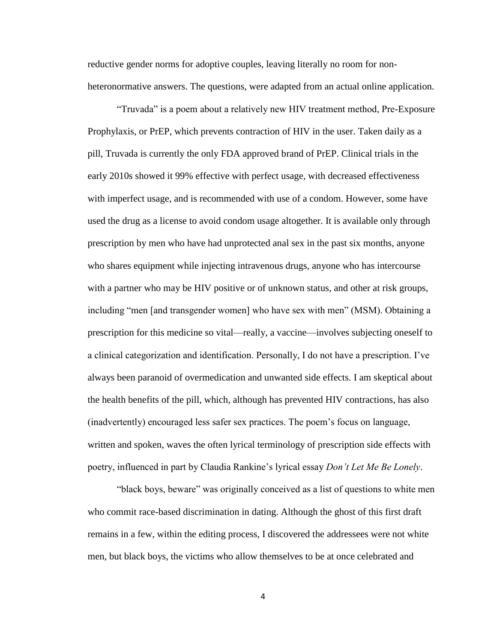reductive gender norms for adoptive couples, leaving literally no room for nonheteronormative answers. The questions, were adapted from an actual online application.

"Truvada" is a poem about a relatively new HIV treatment method, Pre-Exposure Prophylaxis, or PrEP, which prevents contraction of HIV in the user. Taken daily as a pill, Truvada is currently the only FDA approved brand of PrEP. Clinical trials in the early 2010s showed it 99% effective with perfect usage, with decreased effectiveness with imperfect usage, and is recommended with use of a condom. However, some have used the drug as a license to avoid condom usage altogether. It is available only through prescription by men who have had unprotected anal sex in the past six months, anyone who shares equipment while injecting intravenous drugs, anyone who has intercourse with a partner who may be HIV positive or of unknown status, and other at risk groups, including "men [and transgender women] who have sex with men" (MSM). Obtaining a prescription for this medicine so vital—really, a vaccine—involves subjecting oneself to a clinical categorization and identification. Personally, I do not have a prescription. I've always been paranoid of overmedication and unwanted side effects. I am skeptical about the health benefits of the pill, which, although has prevented HIV contractions, has also (inadvertently) encouraged less safer sex practices. The poem's focus on language, written and spoken, waves the often lyrical terminology of prescription side effects with poetry, influenced in part by Claudia Rankine's lyrical essay *Don't Let Me Be Lonely*.

"black boys, beware" was originally conceived as a list of questions to white men who commit race-based discrimination in dating. Although the ghost of this first draft remains in a few, within the editing process, I discovered the addressees were not white men, but black boys, the victims who allow themselves to be at once celebrated and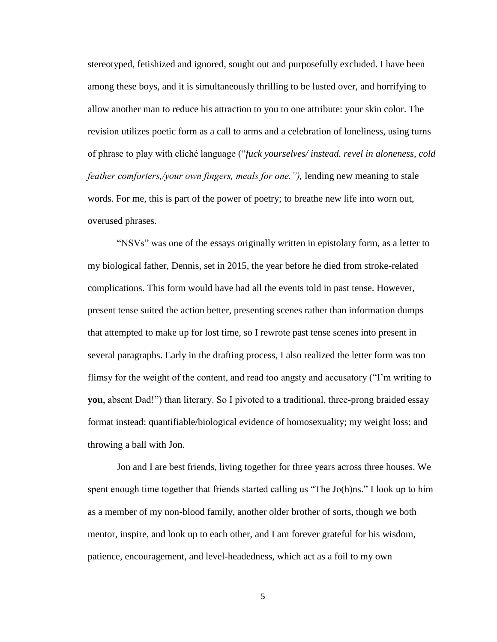stereotyped, fetishized and ignored, sought out and purposefully excluded. I have been among these boys, and it is simultaneously thrilling to be lusted over, and horrifying to allow another man to reduce his attraction to you to one attribute: your skin color. The revision utilizes poetic form as a call to arms and a celebration of loneliness, using turns of phrase to play with cliché language ("*fuck yourselves/ instead. revel in aloneness, cold feather comforters,/your own fingers, meals for one."),* lending new meaning to stale words. For me, this is part of the power of poetry; to breathe new life into worn out, overused phrases.

"NSVs" was one of the essays originally written in epistolary form, as a letter to my biological father, Dennis, set in 2015, the year before he died from stroke-related complications. This form would have had all the events told in past tense. However, present tense suited the action better, presenting scenes rather than information dumps that attempted to make up for lost time, so I rewrote past tense scenes into present in several paragraphs. Early in the drafting process, I also realized the letter form was too flimsy for the weight of the content, and read too angsty and accusatory ("I'm writing to **you**, absent Dad!") than literary. So I pivoted to a traditional, three-prong braided essay format instead: quantifiable/biological evidence of homosexuality; my weight loss; and throwing a ball with Jon.

Jon and I are best friends, living together for three years across three houses. We spent enough time together that friends started calling us "The Jo(h)ns." I look up to him as a member of my non-blood family, another older brother of sorts, though we both mentor, inspire, and look up to each other, and I am forever grateful for his wisdom, patience, encouragement, and level-headedness, which act as a foil to my own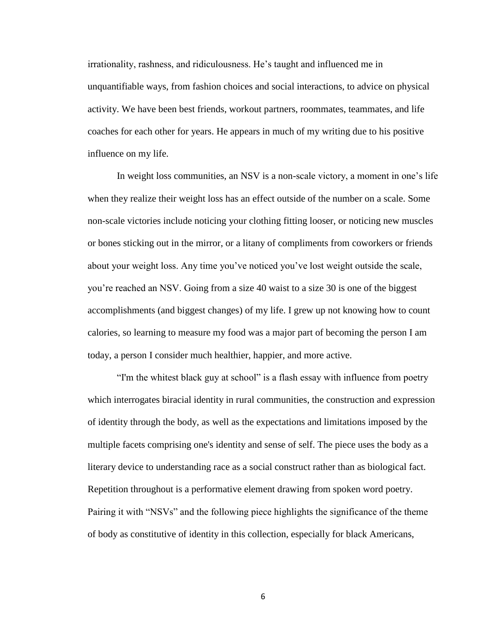irrationality, rashness, and ridiculousness. He's taught and influenced me in unquantifiable ways, from fashion choices and social interactions, to advice on physical activity. We have been best friends, workout partners, roommates, teammates, and life coaches for each other for years. He appears in much of my writing due to his positive influence on my life.

In weight loss communities, an NSV is a non-scale victory, a moment in one's life when they realize their weight loss has an effect outside of the number on a scale. Some non-scale victories include noticing your clothing fitting looser, or noticing new muscles or bones sticking out in the mirror, or a litany of compliments from coworkers or friends about your weight loss. Any time you've noticed you've lost weight outside the scale, you're reached an NSV. Going from a size 40 waist to a size 30 is one of the biggest accomplishments (and biggest changes) of my life. I grew up not knowing how to count calories, so learning to measure my food was a major part of becoming the person I am today, a person I consider much healthier, happier, and more active.

"I'm the whitest black guy at school" is a flash essay with influence from poetry which interrogates biracial identity in rural communities, the construction and expression of identity through the body, as well as the expectations and limitations imposed by the multiple facets comprising one's identity and sense of self. The piece uses the body as a literary device to understanding race as a social construct rather than as biological fact. Repetition throughout is a performative element drawing from spoken word poetry. Pairing it with "NSVs" and the following piece highlights the significance of the theme of body as constitutive of identity in this collection, especially for black Americans,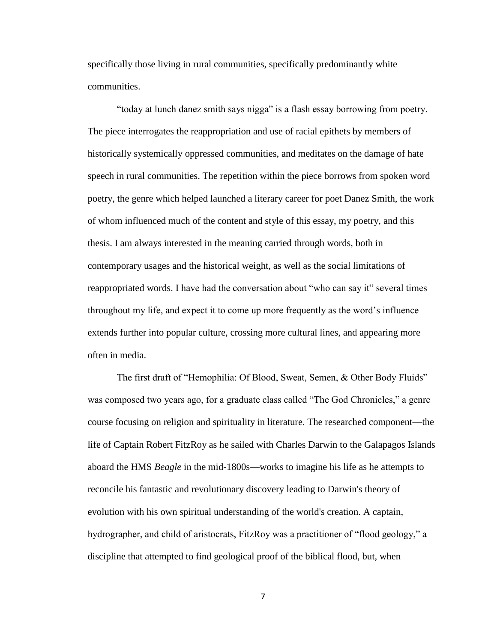specifically those living in rural communities, specifically predominantly white communities.

"today at lunch danez smith says nigga" is a flash essay borrowing from poetry. The piece interrogates the reappropriation and use of racial epithets by members of historically systemically oppressed communities, and meditates on the damage of hate speech in rural communities. The repetition within the piece borrows from spoken word poetry, the genre which helped launched a literary career for poet Danez Smith, the work of whom influenced much of the content and style of this essay, my poetry, and this thesis. I am always interested in the meaning carried through words, both in contemporary usages and the historical weight, as well as the social limitations of reappropriated words. I have had the conversation about "who can say it" several times throughout my life, and expect it to come up more frequently as the word's influence extends further into popular culture, crossing more cultural lines, and appearing more often in media.

The first draft of "Hemophilia: Of Blood, Sweat, Semen, & Other Body Fluids" was composed two years ago, for a graduate class called "The God Chronicles," a genre course focusing on religion and spirituality in literature. The researched component—the life of Captain Robert FitzRoy as he sailed with Charles Darwin to the Galapagos Islands aboard the HMS *Beagle* in the mid-1800s—works to imagine his life as he attempts to reconcile his fantastic and revolutionary discovery leading to Darwin's theory of evolution with his own spiritual understanding of the world's creation. A captain, hydrographer, and child of aristocrats, FitzRoy was a practitioner of "flood geology," a discipline that attempted to find geological proof of the biblical flood, but, when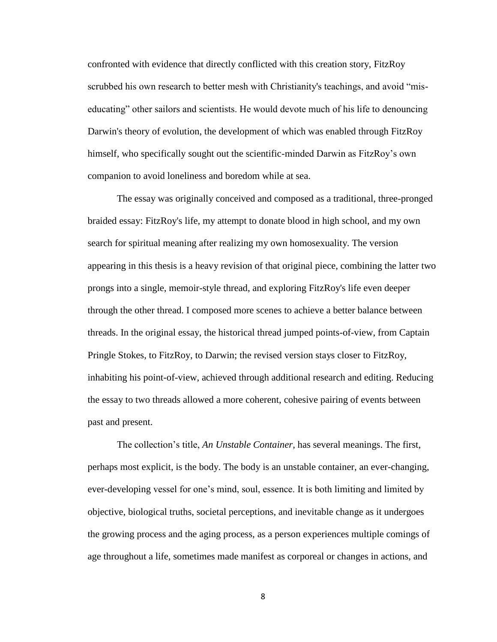confronted with evidence that directly conflicted with this creation story, FitzRoy scrubbed his own research to better mesh with Christianity's teachings, and avoid "miseducating" other sailors and scientists. He would devote much of his life to denouncing Darwin's theory of evolution, the development of which was enabled through FitzRoy himself, who specifically sought out the scientific-minded Darwin as FitzRoy's own companion to avoid loneliness and boredom while at sea.

The essay was originally conceived and composed as a traditional, three-pronged braided essay: FitzRoy's life, my attempt to donate blood in high school, and my own search for spiritual meaning after realizing my own homosexuality. The version appearing in this thesis is a heavy revision of that original piece, combining the latter two prongs into a single, memoir-style thread, and exploring FitzRoy's life even deeper through the other thread. I composed more scenes to achieve a better balance between threads. In the original essay, the historical thread jumped points-of-view, from Captain Pringle Stokes, to FitzRoy, to Darwin; the revised version stays closer to FitzRoy, inhabiting his point-of-view, achieved through additional research and editing. Reducing the essay to two threads allowed a more coherent, cohesive pairing of events between past and present.

The collection's title, *An Unstable Container*, has several meanings. The first, perhaps most explicit, is the body. The body is an unstable container, an ever-changing, ever-developing vessel for one's mind, soul, essence. It is both limiting and limited by objective, biological truths, societal perceptions, and inevitable change as it undergoes the growing process and the aging process, as a person experiences multiple comings of age throughout a life, sometimes made manifest as corporeal or changes in actions, and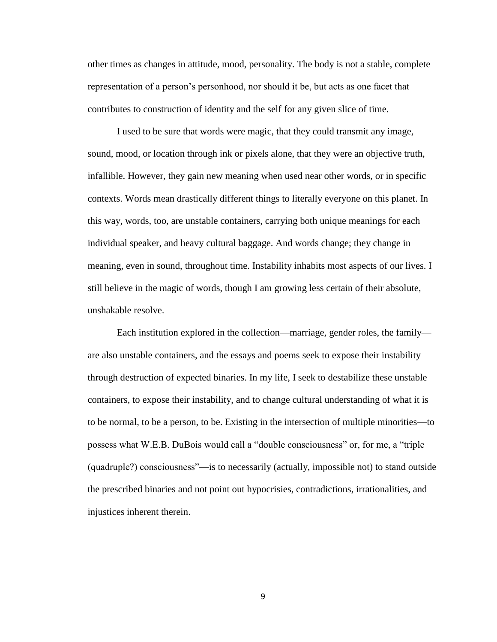other times as changes in attitude, mood, personality. The body is not a stable, complete representation of a person's personhood, nor should it be, but acts as one facet that contributes to construction of identity and the self for any given slice of time.

I used to be sure that words were magic, that they could transmit any image, sound, mood, or location through ink or pixels alone, that they were an objective truth, infallible. However, they gain new meaning when used near other words, or in specific contexts. Words mean drastically different things to literally everyone on this planet. In this way, words, too, are unstable containers, carrying both unique meanings for each individual speaker, and heavy cultural baggage. And words change; they change in meaning, even in sound, throughout time. Instability inhabits most aspects of our lives. I still believe in the magic of words, though I am growing less certain of their absolute, unshakable resolve.

Each institution explored in the collection—marriage, gender roles, the family are also unstable containers, and the essays and poems seek to expose their instability through destruction of expected binaries. In my life, I seek to destabilize these unstable containers, to expose their instability, and to change cultural understanding of what it is to be normal, to be a person, to be. Existing in the intersection of multiple minorities—to possess what W.E.B. DuBois would call a "double consciousness" or, for me, a "triple (quadruple?) consciousness"—is to necessarily (actually, impossible not) to stand outside the prescribed binaries and not point out hypocrisies, contradictions, irrationalities, and injustices inherent therein.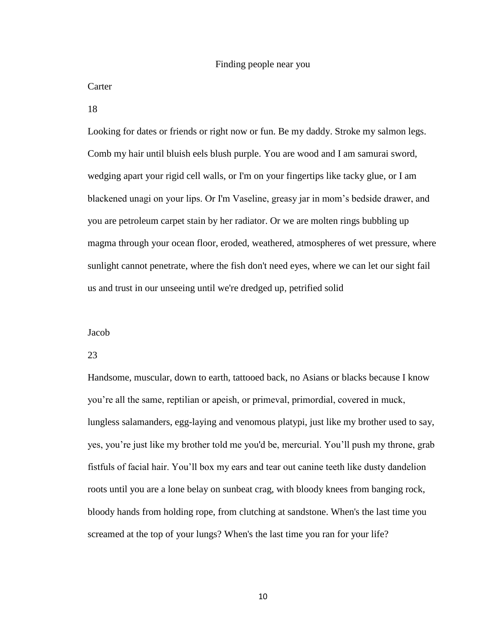#### Finding people near you

#### Carter

18

Looking for dates or friends or right now or fun. Be my daddy. Stroke my salmon legs. Comb my hair until bluish eels blush purple. You are wood and I am samurai sword, wedging apart your rigid cell walls, or I'm on your fingertips like tacky glue, or I am blackened unagi on your lips. Or I'm Vaseline, greasy jar in mom's bedside drawer, and you are petroleum carpet stain by her radiator. Or we are molten rings bubbling up magma through your ocean floor, eroded, weathered, atmospheres of wet pressure, where sunlight cannot penetrate, where the fish don't need eyes, where we can let our sight fail us and trust in our unseeing until we're dredged up, petrified solid

#### Jacob

#### 23

Handsome, muscular, down to earth, tattooed back, no Asians or blacks because I know you're all the same, reptilian or apeish, or primeval, primordial, covered in muck, lungless salamanders, egg-laying and venomous platypi, just like my brother used to say, yes, you're just like my brother told me you'd be, mercurial. You'll push my throne, grab fistfuls of facial hair. You'll box my ears and tear out canine teeth like dusty dandelion roots until you are a lone belay on sunbeat crag, with bloody knees from banging rock, bloody hands from holding rope, from clutching at sandstone. When's the last time you screamed at the top of your lungs? When's the last time you ran for your life?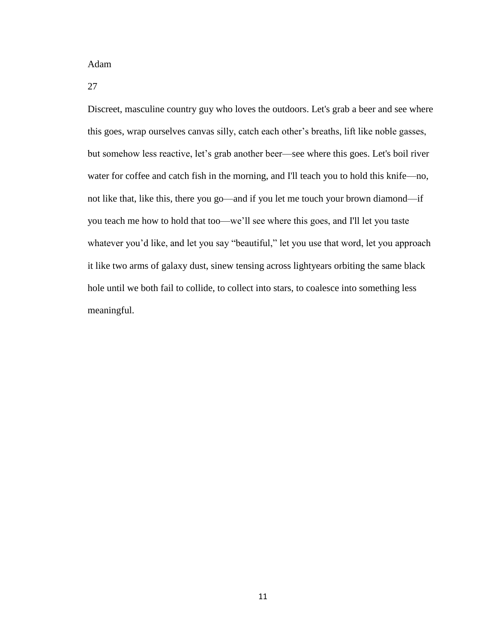Adam

27

Discreet, masculine country guy who loves the outdoors. Let's grab a beer and see where this goes, wrap ourselves canvas silly, catch each other's breaths, lift like noble gasses, but somehow less reactive, let's grab another beer—see where this goes. Let's boil river water for coffee and catch fish in the morning, and I'll teach you to hold this knife—no, not like that, like this, there you go—and if you let me touch your brown diamond—if you teach me how to hold that too—we'll see where this goes, and I'll let you taste whatever you'd like, and let you say "beautiful," let you use that word, let you approach it like two arms of galaxy dust, sinew tensing across lightyears orbiting the same black hole until we both fail to collide, to collect into stars, to coalesce into something less meaningful.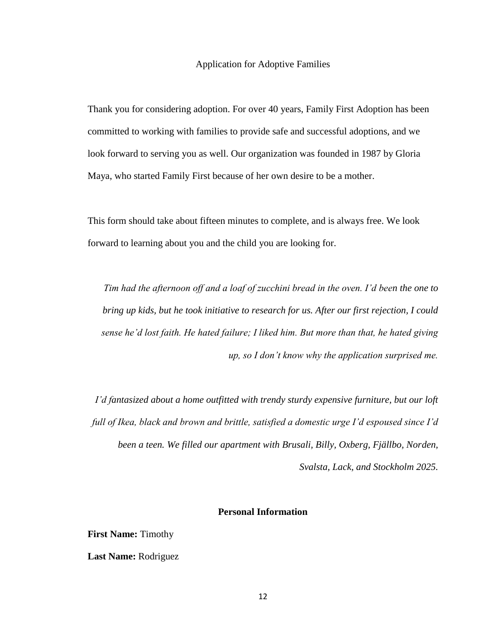#### Application for Adoptive Families

Thank you for considering adoption. For over 40 years, Family First Adoption has been committed to working with families to provide safe and successful adoptions, and we look forward to serving you as well. Our organization was founded in 1987 by Gloria Maya, who started Family First because of her own desire to be a mother.

This form should take about fifteen minutes to complete, and is always free. We look forward to learning about you and the child you are looking for.

*Tim had the afternoon off and a loaf of zucchini bread in the oven. I'd been the one to bring up kids, but he took initiative to research for us. After our first rejection, I could sense he'd lost faith. He hated failure; I liked him. But more than that, he hated giving up, so I don't know why the application surprised me.*

*I'd fantasized about a home outfitted with trendy sturdy expensive furniture, but our loft full of Ikea, black and brown and brittle, satisfied a domestic urge I'd espoused since I'd been a teen. We filled our apartment with Brusali, Billy, Oxberg, Fjällbo, Norden, Svalsta, Lack, and Stockholm 2025.*

#### **Personal Information**

**First Name:** Timothy

**Last Name:** Rodriguez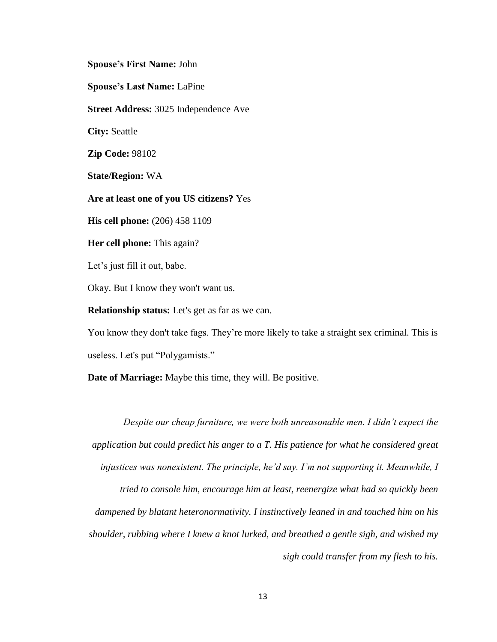**Spouse's First Name:** John

**Spouse's Last Name:** LaPine

**Street Address:** 3025 Independence Ave

**City:** Seattle

**Zip Code:** 98102

**State/Region:** WA

**Are at least one of you US citizens?** Yes

**His cell phone:** (206) 458 1109

**Her cell phone:** This again?

Let's just fill it out, babe.

Okay. But I know they won't want us.

**Relationship status:** Let's get as far as we can.

You know they don't take fags. They're more likely to take a straight sex criminal. This is useless. Let's put "Polygamists."

**Date of Marriage:** Maybe this time, they will. Be positive.

*Despite our cheap furniture, we were both unreasonable men. I didn't expect the application but could predict his anger to a T. His patience for what he considered great injustices was nonexistent. The principle, he'd say. I'm not supporting it. Meanwhile, I tried to console him, encourage him at least, reenergize what had so quickly been dampened by blatant heteronormativity. I instinctively leaned in and touched him on his shoulder, rubbing where I knew a knot lurked, and breathed a gentle sigh, and wished my sigh could transfer from my flesh to his.*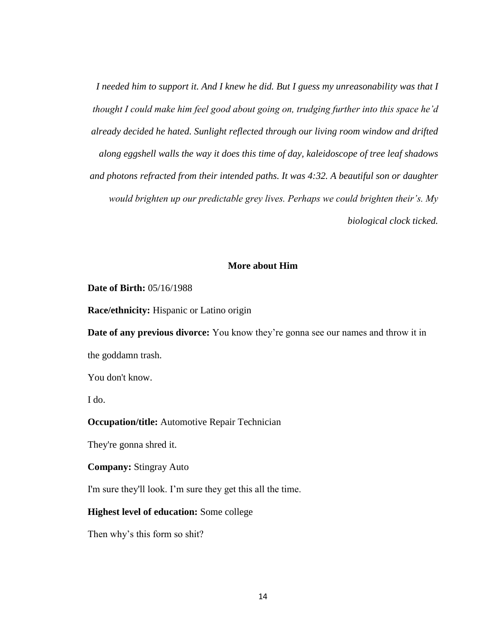*I needed him to support it. And I knew he did. But I guess my unreasonability was that I thought I could make him feel good about going on, trudging further into this space he'd already decided he hated. Sunlight reflected through our living room window and drifted along eggshell walls the way it does this time of day, kaleidoscope of tree leaf shadows and photons refracted from their intended paths. It was 4:32. A beautiful son or daughter would brighten up our predictable grey lives. Perhaps we could brighten their's. My biological clock ticked.*

#### **More about Him**

#### **Date of Birth:** 05/16/1988

**Race/ethnicity:** Hispanic or Latino origin

**Date of any previous divorce:** You know they're gonna see our names and throw it in the goddamn trash.

You don't know.

I do.

#### **Occupation/title:** Automotive Repair Technician

They're gonna shred it.

**Company:** Stingray Auto

I'm sure they'll look. I'm sure they get this all the time.

#### **Highest level of education:** Some college

Then why's this form so shit?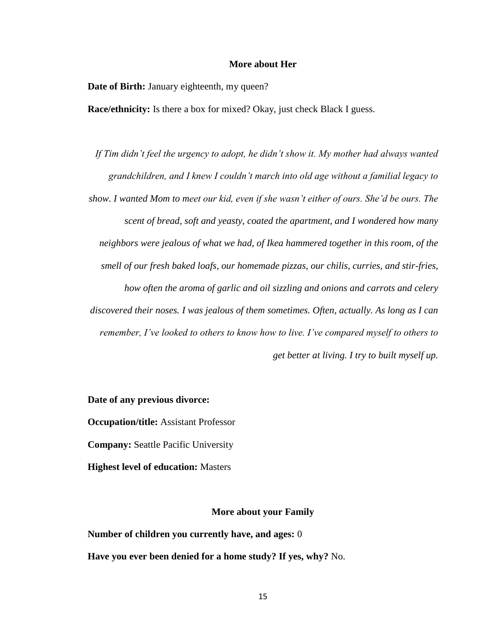#### **More about Her**

**Date of Birth:** January eighteenth, my queen?

**Race/ethnicity:** Is there a box for mixed? Okay, just check Black I guess.

*If Tim didn't feel the urgency to adopt, he didn't show it. My mother had always wanted grandchildren, and I knew I couldn't march into old age without a familial legacy to show. I wanted Mom to meet our kid, even if she wasn't either of ours. She'd be ours. The scent of bread, soft and yeasty, coated the apartment, and I wondered how many neighbors were jealous of what we had, of Ikea hammered together in this room, of the smell of our fresh baked loafs, our homemade pizzas, our chilis, curries, and stir-fries, how often the aroma of garlic and oil sizzling and onions and carrots and celery discovered their noses. I was jealous of them sometimes. Often, actually. As long as I can remember, I've looked to others to know how to live. I've compared myself to others to get better at living. I try to built myself up.*

#### **Date of any previous divorce:**

**Occupation/title:** Assistant Professor

**Company:** Seattle Pacific University

**Highest level of education:** Masters

#### **More about your Family**

**Number of children you currently have, and ages:** 0 **Have you ever been denied for a home study? If yes, why?** No.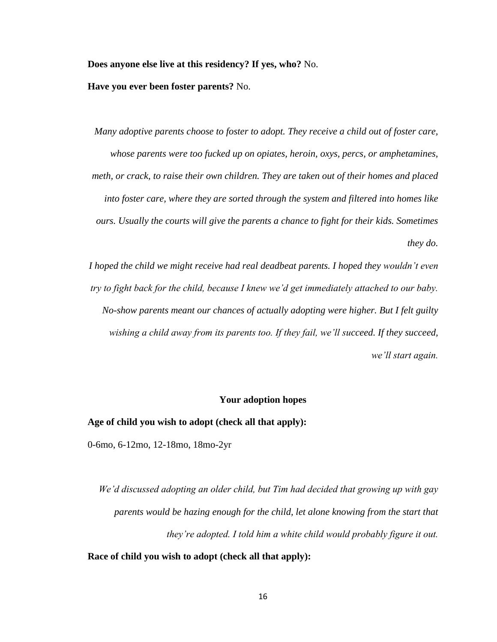**Does anyone else live at this residency? If yes, who?** No.

**Have you ever been foster parents?** No.

*Many adoptive parents choose to foster to adopt. They receive a child out of foster care, whose parents were too fucked up on opiates, heroin, oxys, percs, or amphetamines, meth, or crack, to raise their own children. They are taken out of their homes and placed into foster care, where they are sorted through the system and filtered into homes like ours. Usually the courts will give the parents a chance to fight for their kids. Sometimes they do.*

*I hoped the child we might receive had real deadbeat parents. I hoped they wouldn't even try to fight back for the child, because I knew we'd get immediately attached to our baby. No-show parents meant our chances of actually adopting were higher. But I felt guilty wishing a child away from its parents too. If they fail, we'll succeed. If they succeed, we'll start again.*

#### **Your adoption hopes**

#### **Age of child you wish to adopt (check all that apply):**

0-6mo, 6-12mo, 12-18mo, 18mo-2yr

*We'd discussed adopting an older child, but Tim had decided that growing up with gay parents would be hazing enough for the child, let alone knowing from the start that they're adopted. I told him a white child would probably figure it out.*

**Race of child you wish to adopt (check all that apply):**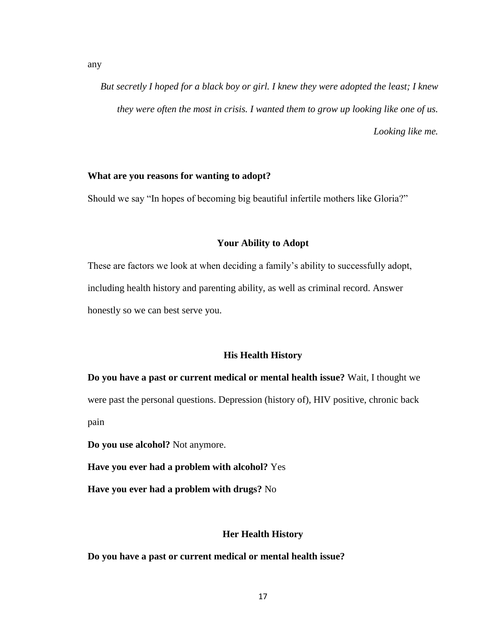*But secretly I hoped for a black boy or girl. I knew they were adopted the least; I knew they were often the most in crisis. I wanted them to grow up looking like one of us. Looking like me.*

#### **What are you reasons for wanting to adopt?**

Should we say "In hopes of becoming big beautiful infertile mothers like Gloria?"

#### **Your Ability to Adopt**

These are factors we look at when deciding a family's ability to successfully adopt, including health history and parenting ability, as well as criminal record. Answer honestly so we can best serve you.

#### **His Health History**

**Do you have a past or current medical or mental health issue?** Wait, I thought we were past the personal questions. Depression (history of), HIV positive, chronic back pain

**Do you use alcohol?** Not anymore.

**Have you ever had a problem with alcohol?** Yes

**Have you ever had a problem with drugs?** No

#### **Her Health History**

**Do you have a past or current medical or mental health issue?**

any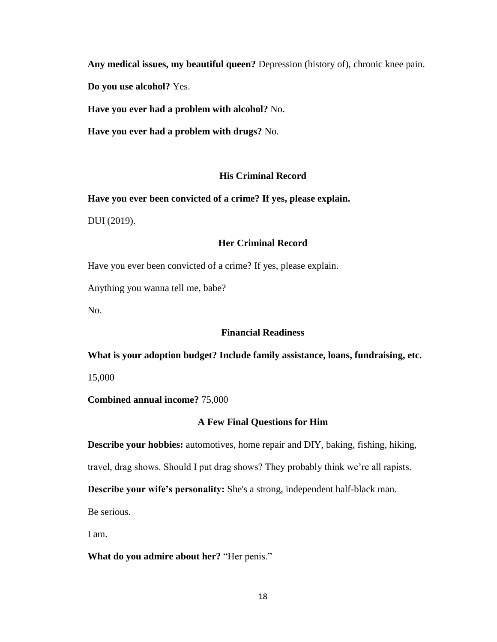**Any medical issues, my beautiful queen?** Depression (history of), chronic knee pain.

**Do you use alcohol?** Yes.

**Have you ever had a problem with alcohol?** No.

**Have you ever had a problem with drugs?** No.

# **His Criminal Record**

**Have you ever been convicted of a crime? If yes, please explain.**

DUI (2019).

# **Her Criminal Record**

Have you ever been convicted of a crime? If yes, please explain.

Anything you wanna tell me, babe?

No.

# **Financial Readiness**

#### **What is your adoption budget? Include family assistance, loans, fundraising, etc.**

15,000

**Combined annual income?** 75,000

# **A Few Final Questions for Him**

**Describe your hobbies:** automotives, home repair and DIY, baking, fishing, hiking,

travel, drag shows. Should I put drag shows? They probably think we're all rapists.

**Describe your wife's personality:** She's a strong, independent half-black man.

Be serious.

I am.

**What do you admire about her?** "Her penis."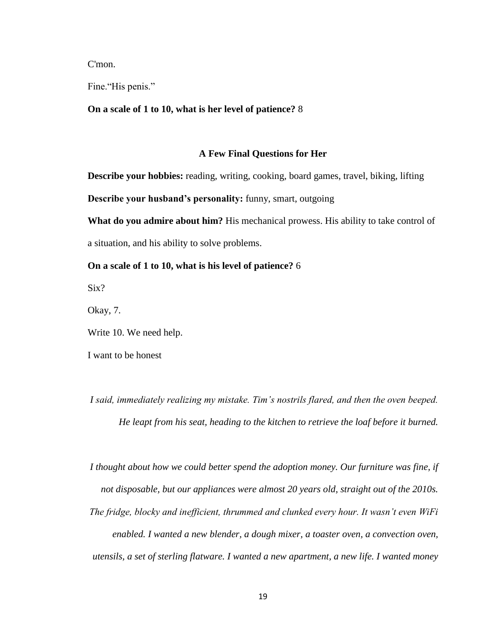C'mon.

Fine."His penis."

#### **On a scale of 1 to 10, what is her level of patience?** 8

#### **A Few Final Questions for Her**

**Describe your hobbies:** reading, writing, cooking, board games, travel, biking, lifting **Describe your husband's personality:** funny, smart, outgoing

**What do you admire about him?** His mechanical prowess. His ability to take control of a situation, and his ability to solve problems.

### **On a scale of 1 to 10, what is his level of patience?** 6

Six?

Okay, 7.

Write 10. We need help.

I want to be honest

*I said, immediately realizing my mistake. Tim's nostrils flared, and then the oven beeped. He leapt from his seat, heading to the kitchen to retrieve the loaf before it burned.*

*I thought about how we could better spend the adoption money. Our furniture was fine, if not disposable, but our appliances were almost 20 years old, straight out of the 2010s. The fridge, blocky and inefficient, thrummed and clunked every hour. It wasn't even WiFi enabled. I wanted a new blender, a dough mixer, a toaster oven, a convection oven, utensils, a set of sterling flatware. I wanted a new apartment, a new life. I wanted money*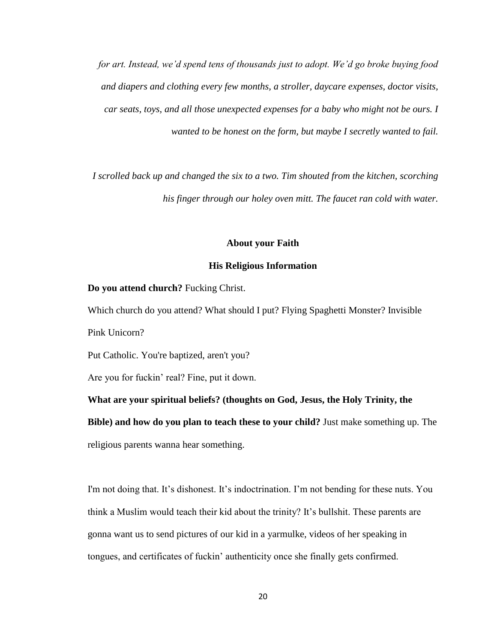*for art. Instead, we'd spend tens of thousands just to adopt. We'd go broke buying food and diapers and clothing every few months, a stroller, daycare expenses, doctor visits, car seats, toys, and all those unexpected expenses for a baby who might not be ours. I wanted to be honest on the form, but maybe I secretly wanted to fail.*

*I scrolled back up and changed the six to a two. Tim shouted from the kitchen, scorching his finger through our holey oven mitt. The faucet ran cold with water.*

#### **About your Faith**

#### **His Religious Information**

#### **Do you attend church?** Fucking Christ.

Which church do you attend? What should I put? Flying Spaghetti Monster? Invisible Pink Unicorn?

Put Catholic. You're baptized, aren't you?

Are you for fuckin' real? Fine, put it down.

**What are your spiritual beliefs? (thoughts on God, Jesus, the Holy Trinity, the Bible) and how do you plan to teach these to your child?** Just make something up. The religious parents wanna hear something.

I'm not doing that. It's dishonest. It's indoctrination. I'm not bending for these nuts. You think a Muslim would teach their kid about the trinity? It's bullshit. These parents are gonna want us to send pictures of our kid in a yarmulke, videos of her speaking in tongues, and certificates of fuckin' authenticity once she finally gets confirmed.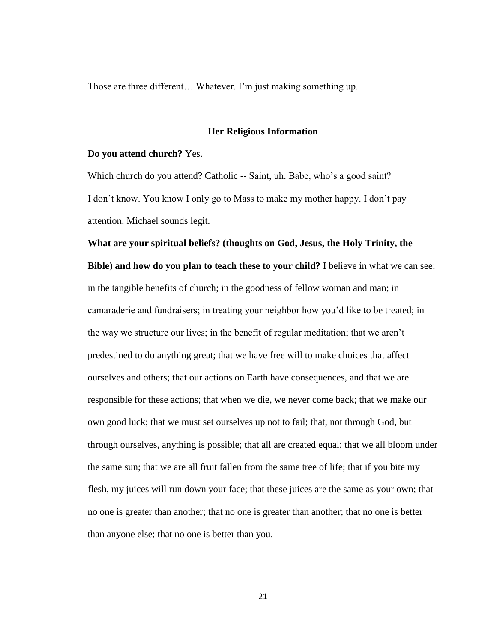Those are three different… Whatever. I'm just making something up.

#### **Her Religious Information**

#### **Do you attend church?** Yes.

Which church do you attend? Catholic -- Saint, uh. Babe, who's a good saint? I don't know. You know I only go to Mass to make my mother happy. I don't pay attention. Michael sounds legit.

**What are your spiritual beliefs? (thoughts on God, Jesus, the Holy Trinity, the Bible) and how do you plan to teach these to your child?** I believe in what we can see: in the tangible benefits of church; in the goodness of fellow woman and man; in camaraderie and fundraisers; in treating your neighbor how you'd like to be treated; in the way we structure our lives; in the benefit of regular meditation; that we aren't predestined to do anything great; that we have free will to make choices that affect ourselves and others; that our actions on Earth have consequences, and that we are responsible for these actions; that when we die, we never come back; that we make our own good luck; that we must set ourselves up not to fail; that, not through God, but through ourselves, anything is possible; that all are created equal; that we all bloom under the same sun; that we are all fruit fallen from the same tree of life; that if you bite my flesh, my juices will run down your face; that these juices are the same as your own; that no one is greater than another; that no one is greater than another; that no one is better than anyone else; that no one is better than you.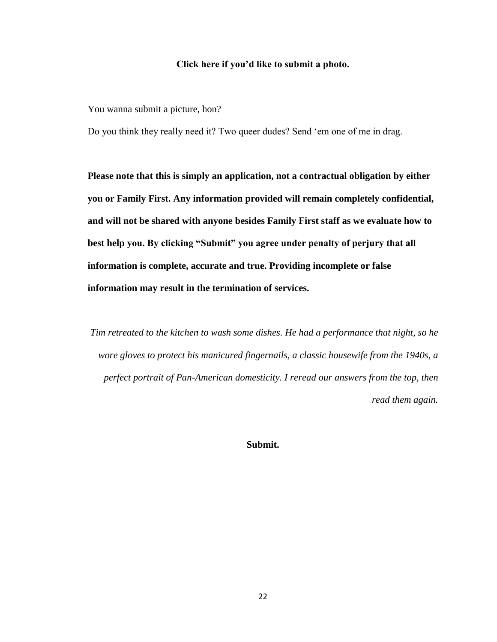#### **Click here if you'd like to submit a photo.**

You wanna submit a picture, hon?

Do you think they really need it? Two queer dudes? Send 'em one of me in drag.

**Please note that this is simply an application, not a contractual obligation by either you or Family First. Any information provided will remain completely confidential, and will not be shared with anyone besides Family First staff as we evaluate how to best help you. By clicking "Submit" you agree under penalty of perjury that all information is complete, accurate and true. Providing incomplete or false information may result in the termination of services.**

*Tim retreated to the kitchen to wash some dishes. He had a performance that night, so he wore gloves to protect his manicured fingernails, a classic housewife from the 1940s, a perfect portrait of Pan-American domesticity. I reread our answers from the top, then read them again.*

**Submit.**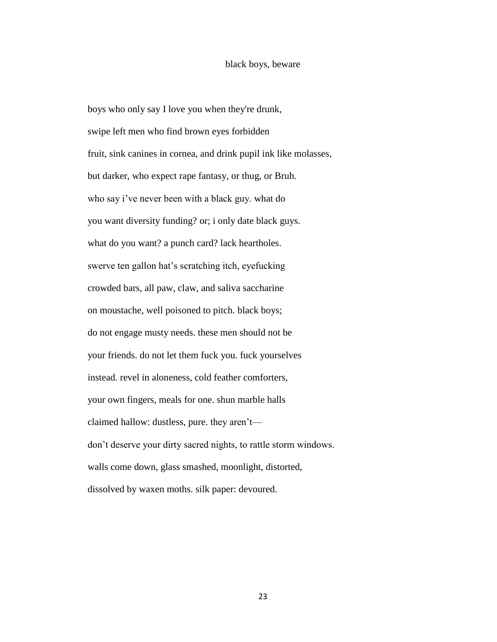#### black boys, beware

boys who only say I love you when they're drunk, swipe left men who find brown eyes forbidden fruit, sink canines in cornea, and drink pupil ink like molasses, but darker, who expect rape fantasy, or thug, or Bruh. who say i've never been with a black guy. what do you want diversity funding? or; i only date black guys. what do you want? a punch card? lack heartholes. swerve ten gallon hat's scratching itch, eyefucking crowded bars, all paw, claw, and saliva saccharine on moustache, well poisoned to pitch. black boys; do not engage musty needs. these men should not be your friends. do not let them fuck you. fuck yourselves instead. revel in aloneness, cold feather comforters, your own fingers, meals for one. shun marble halls claimed hallow: dustless, pure. they aren't don't deserve your dirty sacred nights, to rattle storm windows. walls come down, glass smashed, moonlight, distorted, dissolved by waxen moths. silk paper: devoured.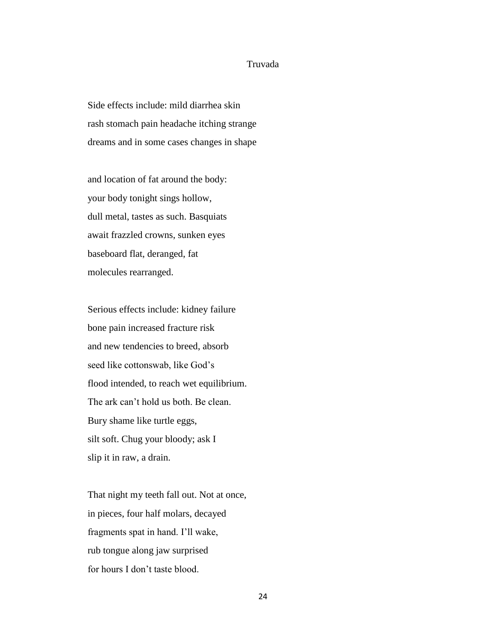### Truvada

Side effects include: mild diarrhea skin rash stomach pain headache itching strange dreams and in some cases changes in shape

and location of fat around the body: your body tonight sings hollow, dull metal, tastes as such. Basquiats await frazzled crowns, sunken eyes baseboard flat, deranged, fat molecules rearranged.

Serious effects include: kidney failure bone pain increased fracture risk and new tendencies to breed, absorb seed like cottonswab, like God's flood intended, to reach wet equilibrium. The ark can't hold us both. Be clean. Bury shame like turtle eggs, silt soft. Chug your bloody; ask I slip it in raw, a drain.

That night my teeth fall out. Not at once, in pieces, four half molars, decayed fragments spat in hand. I'll wake, rub tongue along jaw surprised for hours I don't taste blood.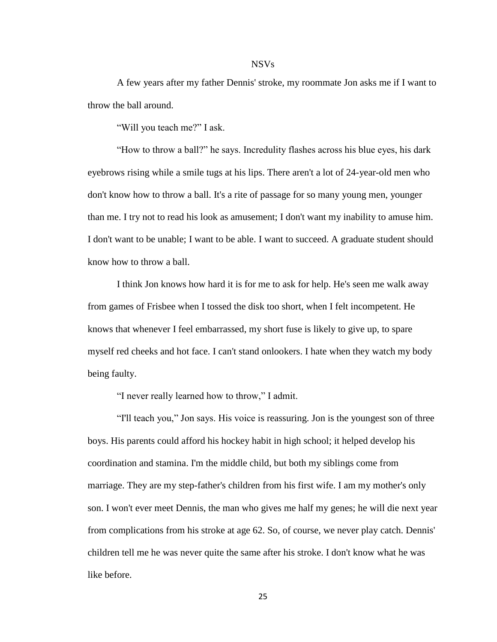#### NSVs

A few years after my father Dennis' stroke, my roommate Jon asks me if I want to throw the ball around.

"Will you teach me?" I ask.

"How to throw a ball?" he says. Incredulity flashes across his blue eyes, his dark eyebrows rising while a smile tugs at his lips. There aren't a lot of 24-year-old men who don't know how to throw a ball. It's a rite of passage for so many young men, younger than me. I try not to read his look as amusement; I don't want my inability to amuse him. I don't want to be unable; I want to be able. I want to succeed. A graduate student should know how to throw a ball.

I think Jon knows how hard it is for me to ask for help. He's seen me walk away from games of Frisbee when I tossed the disk too short, when I felt incompetent. He knows that whenever I feel embarrassed, my short fuse is likely to give up, to spare myself red cheeks and hot face. I can't stand onlookers. I hate when they watch my body being faulty.

"I never really learned how to throw," I admit.

"I'll teach you," Jon says. His voice is reassuring. Jon is the youngest son of three boys. His parents could afford his hockey habit in high school; it helped develop his coordination and stamina. I'm the middle child, but both my siblings come from marriage. They are my step-father's children from his first wife. I am my mother's only son. I won't ever meet Dennis, the man who gives me half my genes; he will die next year from complications from his stroke at age 62. So, of course, we never play catch. Dennis' children tell me he was never quite the same after his stroke. I don't know what he was like before.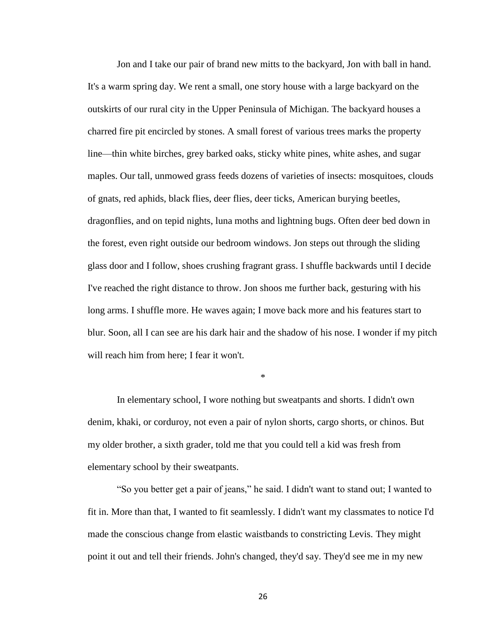Jon and I take our pair of brand new mitts to the backyard, Jon with ball in hand. It's a warm spring day. We rent a small, one story house with a large backyard on the outskirts of our rural city in the Upper Peninsula of Michigan. The backyard houses a charred fire pit encircled by stones. A small forest of various trees marks the property line—thin white birches, grey barked oaks, sticky white pines, white ashes, and sugar maples. Our tall, unmowed grass feeds dozens of varieties of insects: mosquitoes, clouds of gnats, red aphids, black flies, deer flies, deer ticks, American burying beetles, dragonflies, and on tepid nights, luna moths and lightning bugs. Often deer bed down in the forest, even right outside our bedroom windows. Jon steps out through the sliding glass door and I follow, shoes crushing fragrant grass. I shuffle backwards until I decide I've reached the right distance to throw. Jon shoos me further back, gesturing with his long arms. I shuffle more. He waves again; I move back more and his features start to blur. Soon, all I can see are his dark hair and the shadow of his nose. I wonder if my pitch will reach him from here; I fear it won't.

\*

In elementary school, I wore nothing but sweatpants and shorts. I didn't own denim, khaki, or corduroy, not even a pair of nylon shorts, cargo shorts, or chinos. But my older brother, a sixth grader, told me that you could tell a kid was fresh from elementary school by their sweatpants.

"So you better get a pair of jeans," he said. I didn't want to stand out; I wanted to fit in. More than that, I wanted to fit seamlessly. I didn't want my classmates to notice I'd made the conscious change from elastic waistbands to constricting Levis. They might point it out and tell their friends. John's changed, they'd say. They'd see me in my new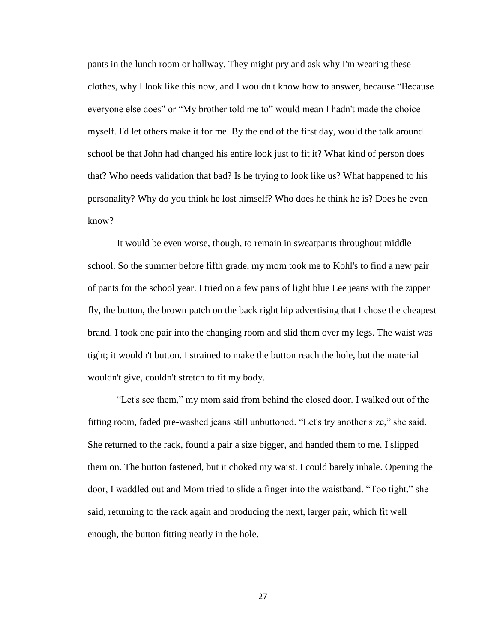pants in the lunch room or hallway. They might pry and ask why I'm wearing these clothes, why I look like this now, and I wouldn't know how to answer, because "Because everyone else does" or "My brother told me to" would mean I hadn't made the choice myself. I'd let others make it for me. By the end of the first day, would the talk around school be that John had changed his entire look just to fit it? What kind of person does that? Who needs validation that bad? Is he trying to look like us? What happened to his personality? Why do you think he lost himself? Who does he think he is? Does he even know?

It would be even worse, though, to remain in sweatpants throughout middle school. So the summer before fifth grade, my mom took me to Kohl's to find a new pair of pants for the school year. I tried on a few pairs of light blue Lee jeans with the zipper fly, the button, the brown patch on the back right hip advertising that I chose the cheapest brand. I took one pair into the changing room and slid them over my legs. The waist was tight; it wouldn't button. I strained to make the button reach the hole, but the material wouldn't give, couldn't stretch to fit my body.

"Let's see them," my mom said from behind the closed door. I walked out of the fitting room, faded pre-washed jeans still unbuttoned. "Let's try another size," she said. She returned to the rack, found a pair a size bigger, and handed them to me. I slipped them on. The button fastened, but it choked my waist. I could barely inhale. Opening the door, I waddled out and Mom tried to slide a finger into the waistband. "Too tight," she said, returning to the rack again and producing the next, larger pair, which fit well enough, the button fitting neatly in the hole.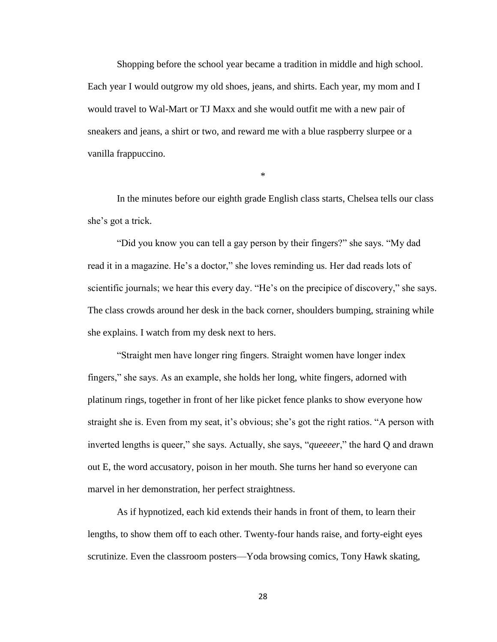Shopping before the school year became a tradition in middle and high school. Each year I would outgrow my old shoes, jeans, and shirts. Each year, my mom and I would travel to Wal-Mart or TJ Maxx and she would outfit me with a new pair of sneakers and jeans, a shirt or two, and reward me with a blue raspberry slurpee or a vanilla frappuccino.

\*

In the minutes before our eighth grade English class starts, Chelsea tells our class she's got a trick.

"Did you know you can tell a gay person by their fingers?" she says. "My dad read it in a magazine. He's a doctor," she loves reminding us. Her dad reads lots of scientific journals; we hear this every day. "He's on the precipice of discovery," she says. The class crowds around her desk in the back corner, shoulders bumping, straining while she explains. I watch from my desk next to hers.

"Straight men have longer ring fingers. Straight women have longer index fingers," she says. As an example, she holds her long, white fingers, adorned with platinum rings, together in front of her like picket fence planks to show everyone how straight she is. Even from my seat, it's obvious; she's got the right ratios. "A person with inverted lengths is queer," she says. Actually, she says, "*queeeer*," the hard Q and drawn out E, the word accusatory, poison in her mouth. She turns her hand so everyone can marvel in her demonstration, her perfect straightness.

As if hypnotized, each kid extends their hands in front of them, to learn their lengths, to show them off to each other. Twenty-four hands raise, and forty-eight eyes scrutinize. Even the classroom posters—Yoda browsing comics, Tony Hawk skating,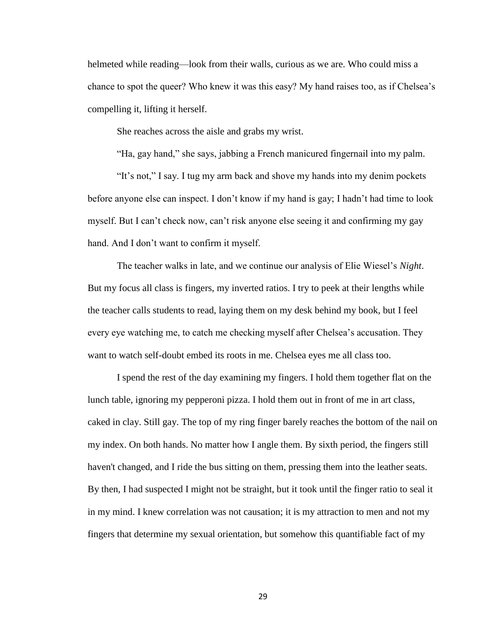helmeted while reading—look from their walls, curious as we are. Who could miss a chance to spot the queer? Who knew it was this easy? My hand raises too, as if Chelsea's compelling it, lifting it herself.

She reaches across the aisle and grabs my wrist.

"Ha, gay hand," she says, jabbing a French manicured fingernail into my palm.

"It's not," I say. I tug my arm back and shove my hands into my denim pockets before anyone else can inspect. I don't know if my hand is gay; I hadn't had time to look myself. But I can't check now, can't risk anyone else seeing it and confirming my gay hand. And I don't want to confirm it myself.

The teacher walks in late, and we continue our analysis of Elie Wiesel's *Night*. But my focus all class is fingers, my inverted ratios. I try to peek at their lengths while the teacher calls students to read, laying them on my desk behind my book, but I feel every eye watching me, to catch me checking myself after Chelsea's accusation. They want to watch self-doubt embed its roots in me. Chelsea eyes me all class too.

I spend the rest of the day examining my fingers. I hold them together flat on the lunch table, ignoring my pepperoni pizza. I hold them out in front of me in art class, caked in clay. Still gay. The top of my ring finger barely reaches the bottom of the nail on my index. On both hands. No matter how I angle them. By sixth period, the fingers still haven't changed, and I ride the bus sitting on them, pressing them into the leather seats. By then, I had suspected I might not be straight, but it took until the finger ratio to seal it in my mind. I knew correlation was not causation; it is my attraction to men and not my fingers that determine my sexual orientation, but somehow this quantifiable fact of my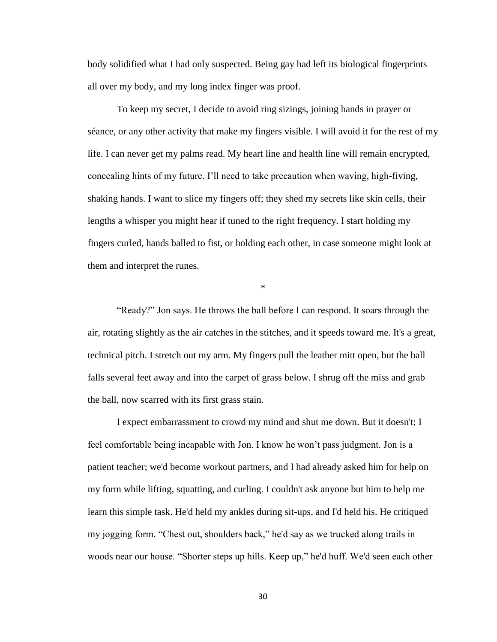body solidified what I had only suspected. Being gay had left its biological fingerprints all over my body, and my long index finger was proof.

To keep my secret, I decide to avoid ring sizings, joining hands in prayer or séance, or any other activity that make my fingers visible. I will avoid it for the rest of my life. I can never get my palms read. My heart line and health line will remain encrypted, concealing hints of my future. I'll need to take precaution when waving, high-fiving, shaking hands. I want to slice my fingers off; they shed my secrets like skin cells, their lengths a whisper you might hear if tuned to the right frequency. I start holding my fingers curled, hands balled to fist, or holding each other, in case someone might look at them and interpret the runes.

\*

"Ready?" Jon says. He throws the ball before I can respond. It soars through the air, rotating slightly as the air catches in the stitches, and it speeds toward me. It's a great, technical pitch. I stretch out my arm. My fingers pull the leather mitt open, but the ball falls several feet away and into the carpet of grass below. I shrug off the miss and grab the ball, now scarred with its first grass stain.

I expect embarrassment to crowd my mind and shut me down. But it doesn't; I feel comfortable being incapable with Jon. I know he won't pass judgment. Jon is a patient teacher; we'd become workout partners, and I had already asked him for help on my form while lifting, squatting, and curling. I couldn't ask anyone but him to help me learn this simple task. He'd held my ankles during sit-ups, and I'd held his. He critiqued my jogging form. "Chest out, shoulders back," he'd say as we trucked along trails in woods near our house. "Shorter steps up hills. Keep up," he'd huff. We'd seen each other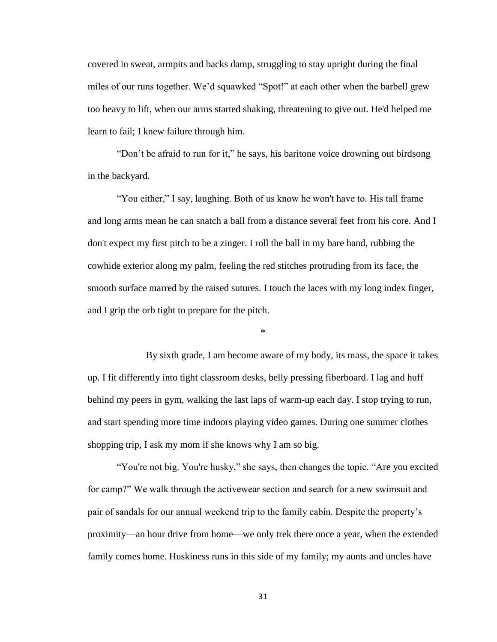covered in sweat, armpits and backs damp, struggling to stay upright during the final miles of our runs together. We'd squawked "Spot!" at each other when the barbell grew too heavy to lift, when our arms started shaking, threatening to give out. He'd helped me learn to fail; I knew failure through him.

"Don't be afraid to run for it," he says, his baritone voice drowning out birdsong in the backyard.

"You either," I say, laughing. Both of us know he won't have to. His tall frame and long arms mean he can snatch a ball from a distance several feet from his core. And I don't expect my first pitch to be a zinger. I roll the ball in my bare hand, rubbing the cowhide exterior along my palm, feeling the red stitches protruding from its face, the smooth surface marred by the raised sutures. I touch the laces with my long index finger, and I grip the orb tight to prepare for the pitch.

\*

By sixth grade, I am become aware of my body, its mass, the space it takes up. I fit differently into tight classroom desks, belly pressing fiberboard. I lag and huff behind my peers in gym, walking the last laps of warm-up each day. I stop trying to run, and start spending more time indoors playing video games. During one summer clothes shopping trip, I ask my mom if she knows why I am so big.

"You're not big. You're husky," she says, then changes the topic. "Are you excited for camp?" We walk through the activewear section and search for a new swimsuit and pair of sandals for our annual weekend trip to the family cabin. Despite the property's proximity—an hour drive from home—we only trek there once a year, when the extended family comes home. Huskiness runs in this side of my family; my aunts and uncles have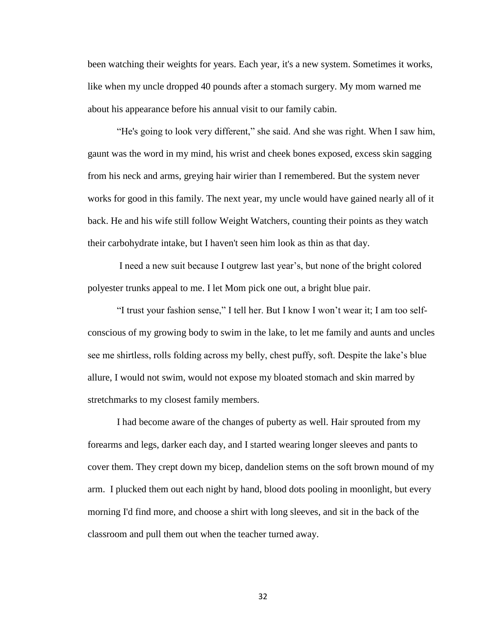been watching their weights for years. Each year, it's a new system. Sometimes it works, like when my uncle dropped 40 pounds after a stomach surgery. My mom warned me about his appearance before his annual visit to our family cabin.

"He's going to look very different," she said. And she was right. When I saw him, gaunt was the word in my mind, his wrist and cheek bones exposed, excess skin sagging from his neck and arms, greying hair wirier than I remembered. But the system never works for good in this family. The next year, my uncle would have gained nearly all of it back. He and his wife still follow Weight Watchers, counting their points as they watch their carbohydrate intake, but I haven't seen him look as thin as that day.

I need a new suit because I outgrew last year's, but none of the bright colored polyester trunks appeal to me. I let Mom pick one out, a bright blue pair.

"I trust your fashion sense," I tell her. But I know I won't wear it; I am too selfconscious of my growing body to swim in the lake, to let me family and aunts and uncles see me shirtless, rolls folding across my belly, chest puffy, soft. Despite the lake's blue allure, I would not swim, would not expose my bloated stomach and skin marred by stretchmarks to my closest family members.

I had become aware of the changes of puberty as well. Hair sprouted from my forearms and legs, darker each day, and I started wearing longer sleeves and pants to cover them. They crept down my bicep, dandelion stems on the soft brown mound of my arm. I plucked them out each night by hand, blood dots pooling in moonlight, but every morning I'd find more, and choose a shirt with long sleeves, and sit in the back of the classroom and pull them out when the teacher turned away.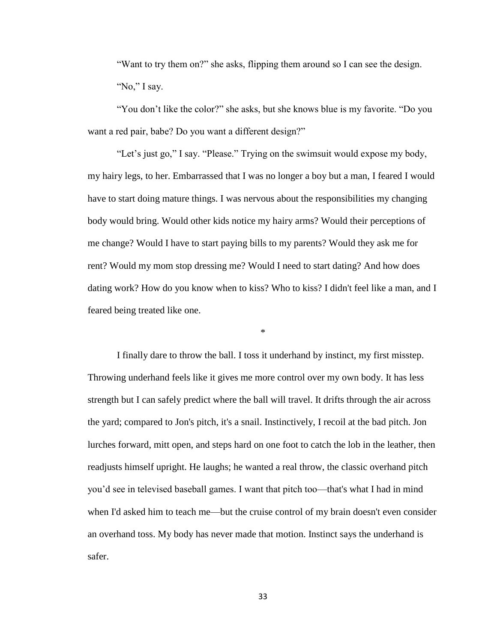"Want to try them on?" she asks, flipping them around so I can see the design. "No," I say.

"You don't like the color?" she asks, but she knows blue is my favorite. "Do you want a red pair, babe? Do you want a different design?"

"Let's just go," I say. "Please." Trying on the swimsuit would expose my body, my hairy legs, to her. Embarrassed that I was no longer a boy but a man, I feared I would have to start doing mature things. I was nervous about the responsibilities my changing body would bring. Would other kids notice my hairy arms? Would their perceptions of me change? Would I have to start paying bills to my parents? Would they ask me for rent? Would my mom stop dressing me? Would I need to start dating? And how does dating work? How do you know when to kiss? Who to kiss? I didn't feel like a man, and I feared being treated like one.

\*

I finally dare to throw the ball. I toss it underhand by instinct, my first misstep. Throwing underhand feels like it gives me more control over my own body. It has less strength but I can safely predict where the ball will travel. It drifts through the air across the yard; compared to Jon's pitch, it's a snail. Instinctively, I recoil at the bad pitch. Jon lurches forward, mitt open, and steps hard on one foot to catch the lob in the leather, then readjusts himself upright. He laughs; he wanted a real throw, the classic overhand pitch you'd see in televised baseball games. I want that pitch too—that's what I had in mind when I'd asked him to teach me—but the cruise control of my brain doesn't even consider an overhand toss. My body has never made that motion. Instinct says the underhand is safer.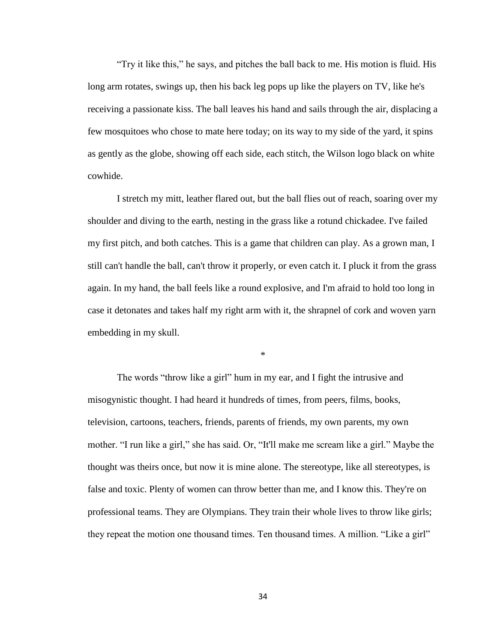"Try it like this," he says, and pitches the ball back to me. His motion is fluid. His long arm rotates, swings up, then his back leg pops up like the players on TV, like he's receiving a passionate kiss. The ball leaves his hand and sails through the air, displacing a few mosquitoes who chose to mate here today; on its way to my side of the yard, it spins as gently as the globe, showing off each side, each stitch, the Wilson logo black on white cowhide.

I stretch my mitt, leather flared out, but the ball flies out of reach, soaring over my shoulder and diving to the earth, nesting in the grass like a rotund chickadee. I've failed my first pitch, and both catches. This is a game that children can play. As a grown man, I still can't handle the ball, can't throw it properly, or even catch it. I pluck it from the grass again. In my hand, the ball feels like a round explosive, and I'm afraid to hold too long in case it detonates and takes half my right arm with it, the shrapnel of cork and woven yarn embedding in my skull.

\*

The words "throw like a girl" hum in my ear, and I fight the intrusive and misogynistic thought. I had heard it hundreds of times, from peers, films, books, television, cartoons, teachers, friends, parents of friends, my own parents, my own mother. "I run like a girl," she has said. Or, "It'll make me scream like a girl." Maybe the thought was theirs once, but now it is mine alone. The stereotype, like all stereotypes, is false and toxic. Plenty of women can throw better than me, and I know this. They're on professional teams. They are Olympians. They train their whole lives to throw like girls; they repeat the motion one thousand times. Ten thousand times. A million. "Like a girl"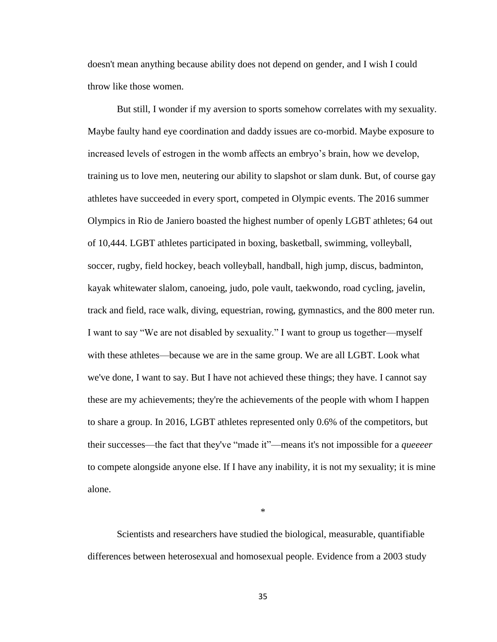doesn't mean anything because ability does not depend on gender, and I wish I could throw like those women.

But still, I wonder if my aversion to sports somehow correlates with my sexuality. Maybe faulty hand eye coordination and daddy issues are co-morbid. Maybe exposure to increased levels of estrogen in the womb affects an embryo's brain, how we develop, training us to love men, neutering our ability to slapshot or slam dunk. But, of course gay athletes have succeeded in every sport, competed in Olympic events. The 2016 summer Olympics in Rio de Janiero boasted the highest number of openly LGBT athletes; 64 out of 10,444. LGBT athletes participated in boxing, basketball, swimming, volleyball, soccer, rugby, field hockey, beach volleyball, handball, high jump, discus, badminton, kayak whitewater slalom, canoeing, judo, pole vault, taekwondo, road cycling, javelin, track and field, race walk, diving, equestrian, rowing, gymnastics, and the 800 meter run. I want to say "We are not disabled by sexuality." I want to group us together—myself with these athletes—because we are in the same group. We are all LGBT. Look what we've done, I want to say. But I have not achieved these things; they have. I cannot say these are my achievements; they're the achievements of the people with whom I happen to share a group. In 2016, LGBT athletes represented only 0.6% of the competitors, but their successes—the fact that they've "made it"—means it's not impossible for a *queeeer* to compete alongside anyone else. If I have any inability, it is not my sexuality; it is mine alone.

Scientists and researchers have studied the biological, measurable, quantifiable differences between heterosexual and homosexual people. Evidence from a 2003 study

\*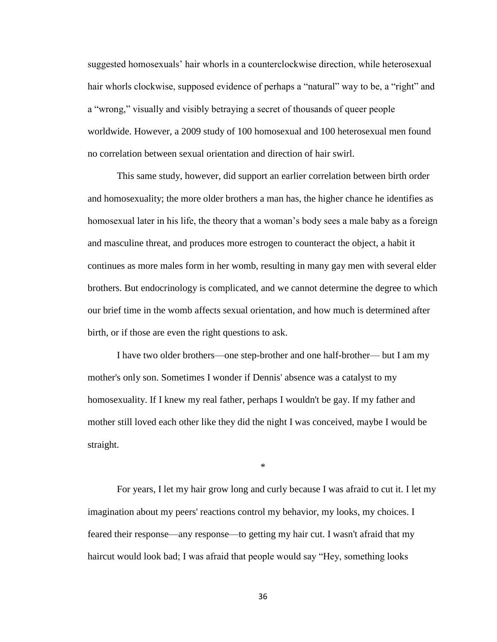suggested homosexuals' hair whorls in a counterclockwise direction, while heterosexual hair whorls clockwise, supposed evidence of perhaps a "natural" way to be, a "right" and a "wrong," visually and visibly betraying a secret of thousands of queer people worldwide. However, a 2009 study of 100 homosexual and 100 heterosexual men found no correlation between sexual orientation and direction of hair swirl.

This same study, however, did support an earlier correlation between birth order and homosexuality; the more older brothers a man has, the higher chance he identifies as homosexual later in his life, the theory that a woman's body sees a male baby as a foreign and masculine threat, and produces more estrogen to counteract the object, a habit it continues as more males form in her womb, resulting in many gay men with several elder brothers. But endocrinology is complicated, and we cannot determine the degree to which our brief time in the womb affects sexual orientation, and how much is determined after birth, or if those are even the right questions to ask.

I have two older brothers—one step-brother and one half-brother— but I am my mother's only son. Sometimes I wonder if Dennis' absence was a catalyst to my homosexuality. If I knew my real father, perhaps I wouldn't be gay. If my father and mother still loved each other like they did the night I was conceived, maybe I would be straight.

\*

For years, I let my hair grow long and curly because I was afraid to cut it. I let my imagination about my peers' reactions control my behavior, my looks, my choices. I feared their response—any response—to getting my hair cut. I wasn't afraid that my haircut would look bad; I was afraid that people would say "Hey, something looks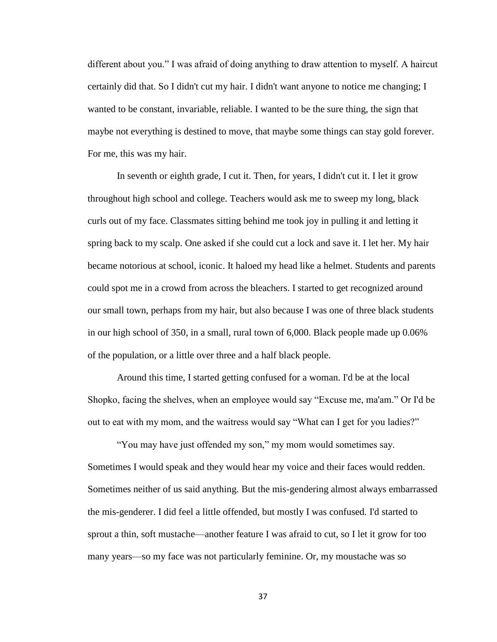different about you." I was afraid of doing anything to draw attention to myself. A haircut certainly did that. So I didn't cut my hair. I didn't want anyone to notice me changing; I wanted to be constant, invariable, reliable. I wanted to be the sure thing, the sign that maybe not everything is destined to move, that maybe some things can stay gold forever. For me, this was my hair.

In seventh or eighth grade, I cut it. Then, for years, I didn't cut it. I let it grow throughout high school and college. Teachers would ask me to sweep my long, black curls out of my face. Classmates sitting behind me took joy in pulling it and letting it spring back to my scalp. One asked if she could cut a lock and save it. I let her. My hair became notorious at school, iconic. It haloed my head like a helmet. Students and parents could spot me in a crowd from across the bleachers. I started to get recognized around our small town, perhaps from my hair, but also because I was one of three black students in our high school of 350, in a small, rural town of 6,000. Black people made up 0.06% of the population, or a little over three and a half black people.

Around this time, I started getting confused for a woman. I'd be at the local Shopko, facing the shelves, when an employee would say "Excuse me, ma'am." Or I'd be out to eat with my mom, and the waitress would say "What can I get for you ladies?"

"You may have just offended my son," my mom would sometimes say. Sometimes I would speak and they would hear my voice and their faces would redden. Sometimes neither of us said anything. But the mis-gendering almost always embarrassed the mis-genderer. I did feel a little offended, but mostly I was confused. I'd started to sprout a thin, soft mustache—another feature I was afraid to cut, so I let it grow for too many years—so my face was not particularly feminine. Or, my moustache was so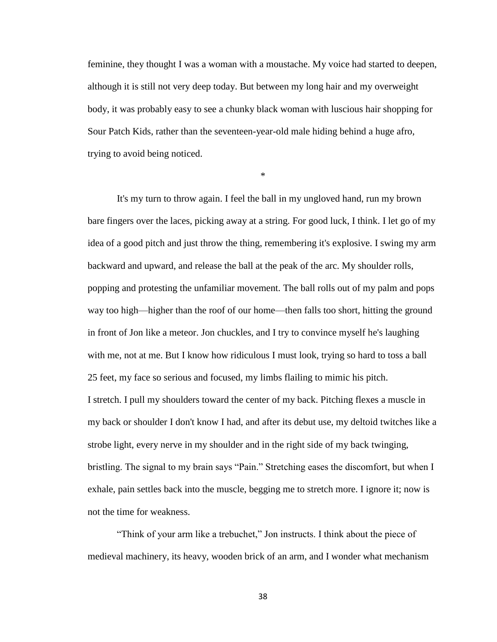feminine, they thought I was a woman with a moustache. My voice had started to deepen, although it is still not very deep today. But between my long hair and my overweight body, it was probably easy to see a chunky black woman with luscious hair shopping for Sour Patch Kids, rather than the seventeen-year-old male hiding behind a huge afro, trying to avoid being noticed.

\*

It's my turn to throw again. I feel the ball in my ungloved hand, run my brown bare fingers over the laces, picking away at a string. For good luck, I think. I let go of my idea of a good pitch and just throw the thing, remembering it's explosive. I swing my arm backward and upward, and release the ball at the peak of the arc. My shoulder rolls, popping and protesting the unfamiliar movement. The ball rolls out of my palm and pops way too high—higher than the roof of our home—then falls too short, hitting the ground in front of Jon like a meteor. Jon chuckles, and I try to convince myself he's laughing with me, not at me. But I know how ridiculous I must look, trying so hard to toss a ball 25 feet, my face so serious and focused, my limbs flailing to mimic his pitch. I stretch. I pull my shoulders toward the center of my back. Pitching flexes a muscle in my back or shoulder I don't know I had, and after its debut use, my deltoid twitches like a strobe light, every nerve in my shoulder and in the right side of my back twinging, bristling. The signal to my brain says "Pain." Stretching eases the discomfort, but when I exhale, pain settles back into the muscle, begging me to stretch more. I ignore it; now is not the time for weakness.

"Think of your arm like a trebuchet," Jon instructs. I think about the piece of medieval machinery, its heavy, wooden brick of an arm, and I wonder what mechanism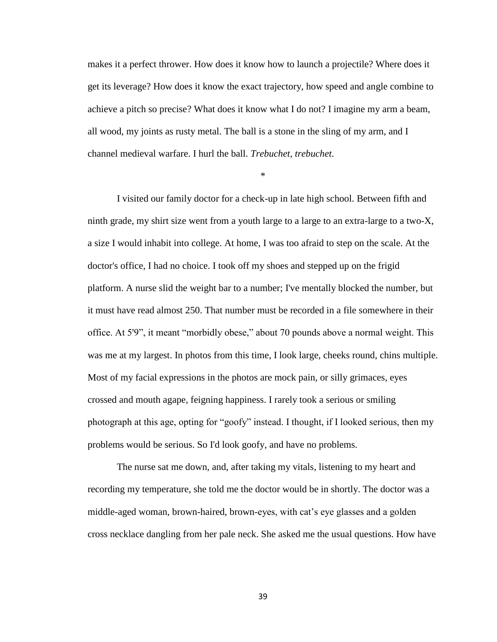makes it a perfect thrower. How does it know how to launch a projectile? Where does it get its leverage? How does it know the exact trajectory, how speed and angle combine to achieve a pitch so precise? What does it know what I do not? I imagine my arm a beam, all wood, my joints as rusty metal. The ball is a stone in the sling of my arm, and I channel medieval warfare. I hurl the ball. *Trebuchet, trebuchet*.

\*

I visited our family doctor for a check-up in late high school. Between fifth and ninth grade, my shirt size went from a youth large to a large to an extra-large to a two-X, a size I would inhabit into college. At home, I was too afraid to step on the scale. At the doctor's office, I had no choice. I took off my shoes and stepped up on the frigid platform. A nurse slid the weight bar to a number; I've mentally blocked the number, but it must have read almost 250. That number must be recorded in a file somewhere in their office. At 5'9", it meant "morbidly obese," about 70 pounds above a normal weight. This was me at my largest. In photos from this time, I look large, cheeks round, chins multiple. Most of my facial expressions in the photos are mock pain, or silly grimaces, eyes crossed and mouth agape, feigning happiness. I rarely took a serious or smiling photograph at this age, opting for "goofy" instead. I thought, if I looked serious, then my problems would be serious. So I'd look goofy, and have no problems.

The nurse sat me down, and, after taking my vitals, listening to my heart and recording my temperature, she told me the doctor would be in shortly. The doctor was a middle-aged woman, brown-haired, brown-eyes, with cat's eye glasses and a golden cross necklace dangling from her pale neck. She asked me the usual questions. How have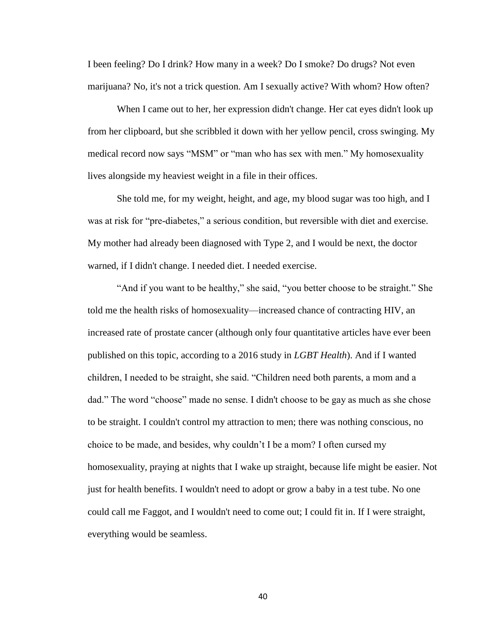I been feeling? Do I drink? How many in a week? Do I smoke? Do drugs? Not even marijuana? No, it's not a trick question. Am I sexually active? With whom? How often?

When I came out to her, her expression didn't change. Her cat eyes didn't look up from her clipboard, but she scribbled it down with her yellow pencil, cross swinging. My medical record now says "MSM" or "man who has sex with men." My homosexuality lives alongside my heaviest weight in a file in their offices.

She told me, for my weight, height, and age, my blood sugar was too high, and I was at risk for "pre-diabetes," a serious condition, but reversible with diet and exercise. My mother had already been diagnosed with Type 2, and I would be next, the doctor warned, if I didn't change. I needed diet. I needed exercise.

"And if you want to be healthy," she said, "you better choose to be straight." She told me the health risks of homosexuality—increased chance of contracting HIV, an increased rate of prostate cancer (although only four quantitative articles have ever been published on this topic, according to a 2016 study in *LGBT Health*). And if I wanted children, I needed to be straight, she said. "Children need both parents, a mom and a dad." The word "choose" made no sense. I didn't choose to be gay as much as she chose to be straight. I couldn't control my attraction to men; there was nothing conscious, no choice to be made, and besides, why couldn't I be a mom? I often cursed my homosexuality, praying at nights that I wake up straight, because life might be easier. Not just for health benefits. I wouldn't need to adopt or grow a baby in a test tube. No one could call me Faggot, and I wouldn't need to come out; I could fit in. If I were straight, everything would be seamless.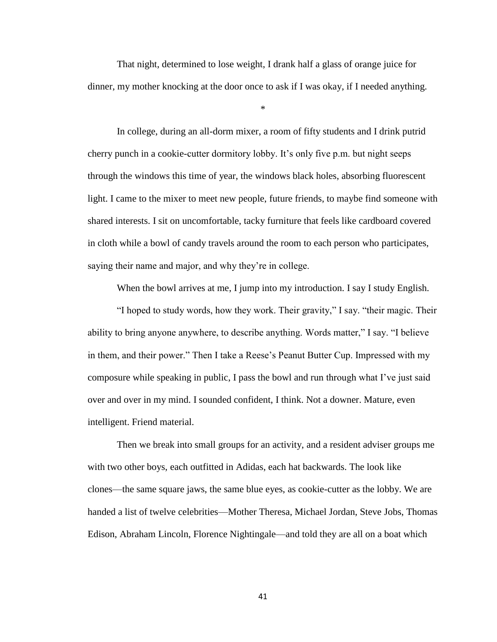That night, determined to lose weight, I drank half a glass of orange juice for dinner, my mother knocking at the door once to ask if I was okay, if I needed anything.

\*

In college, during an all-dorm mixer, a room of fifty students and I drink putrid cherry punch in a cookie-cutter dormitory lobby. It's only five p.m. but night seeps through the windows this time of year, the windows black holes, absorbing fluorescent light. I came to the mixer to meet new people, future friends, to maybe find someone with shared interests. I sit on uncomfortable, tacky furniture that feels like cardboard covered in cloth while a bowl of candy travels around the room to each person who participates, saying their name and major, and why they're in college.

When the bowl arrives at me, I jump into my introduction. I say I study English.

"I hoped to study words, how they work. Their gravity," I say. "their magic. Their ability to bring anyone anywhere, to describe anything. Words matter," I say. "I believe in them, and their power." Then I take a Reese's Peanut Butter Cup. Impressed with my composure while speaking in public, I pass the bowl and run through what I've just said over and over in my mind. I sounded confident, I think. Not a downer. Mature, even intelligent. Friend material.

Then we break into small groups for an activity, and a resident adviser groups me with two other boys, each outfitted in Adidas, each hat backwards. The look like clones—the same square jaws, the same blue eyes, as cookie-cutter as the lobby. We are handed a list of twelve celebrities—Mother Theresa, Michael Jordan, Steve Jobs, Thomas Edison, Abraham Lincoln, Florence Nightingale—and told they are all on a boat which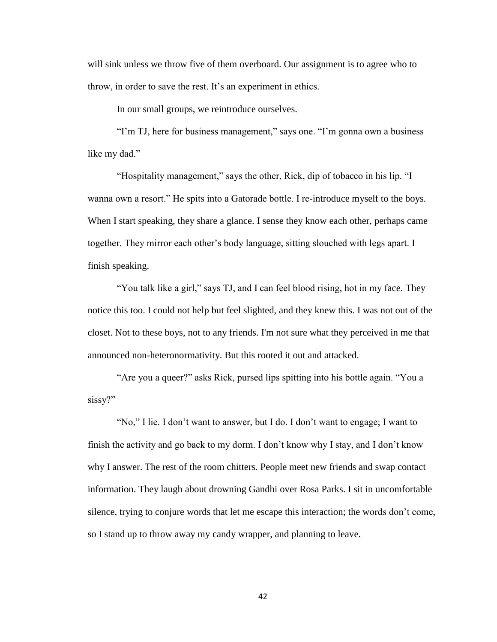will sink unless we throw five of them overboard. Our assignment is to agree who to throw, in order to save the rest. It's an experiment in ethics.

In our small groups, we reintroduce ourselves.

"I'm TJ, here for business management," says one. "I'm gonna own a business" like my dad."

"Hospitality management," says the other, Rick, dip of tobacco in his lip. "I wanna own a resort." He spits into a Gatorade bottle. I re-introduce myself to the boys. When I start speaking, they share a glance. I sense they know each other, perhaps came together. They mirror each other's body language, sitting slouched with legs apart. I finish speaking.

"You talk like a girl," says TJ, and I can feel blood rising, hot in my face. They notice this too. I could not help but feel slighted, and they knew this. I was not out of the closet. Not to these boys, not to any friends. I'm not sure what they perceived in me that announced non-heteronormativity. But this rooted it out and attacked.

"Are you a queer?" asks Rick, pursed lips spitting into his bottle again. "You a sissy?"

"No," I lie. I don't want to answer, but I do. I don't want to engage; I want to finish the activity and go back to my dorm. I don't know why I stay, and I don't know why I answer. The rest of the room chitters. People meet new friends and swap contact information. They laugh about drowning Gandhi over Rosa Parks. I sit in uncomfortable silence, trying to conjure words that let me escape this interaction; the words don't come, so I stand up to throw away my candy wrapper, and planning to leave.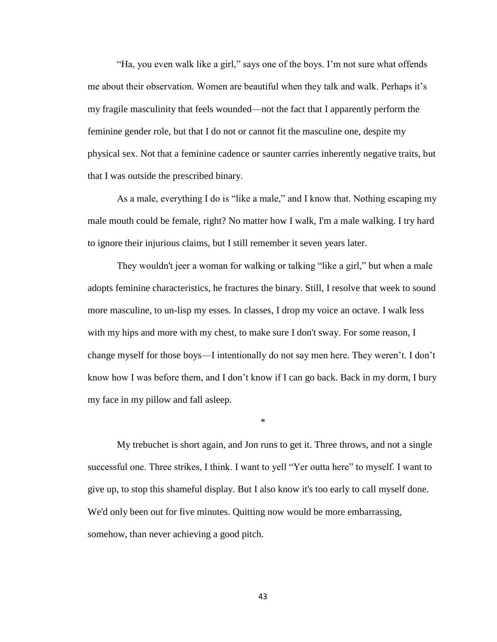"Ha, you even walk like a girl," says one of the boys. I'm not sure what offends me about their observation. Women are beautiful when they talk and walk. Perhaps it's my fragile masculinity that feels wounded—not the fact that I apparently perform the feminine gender role, but that I do not or cannot fit the masculine one, despite my physical sex. Not that a feminine cadence or saunter carries inherently negative traits, but that I was outside the prescribed binary.

As a male, everything I do is "like a male," and I know that. Nothing escaping my male mouth could be female, right? No matter how I walk, I'm a male walking. I try hard to ignore their injurious claims, but I still remember it seven years later.

They wouldn't jeer a woman for walking or talking "like a girl," but when a male adopts feminine characteristics, he fractures the binary. Still, I resolve that week to sound more masculine, to un-lisp my esses. In classes, I drop my voice an octave. I walk less with my hips and more with my chest, to make sure I don't sway. For some reason, I change myself for those boys—I intentionally do not say men here. They weren't. I don't know how I was before them, and I don't know if I can go back. Back in my dorm, I bury my face in my pillow and fall asleep.

My trebuchet is short again, and Jon runs to get it. Three throws, and not a single successful one. Three strikes, I think. I want to yell "Yer outta here" to myself. I want to give up, to stop this shameful display. But I also know it's too early to call myself done. We'd only been out for five minutes. Quitting now would be more embarrassing, somehow, than never achieving a good pitch.

\*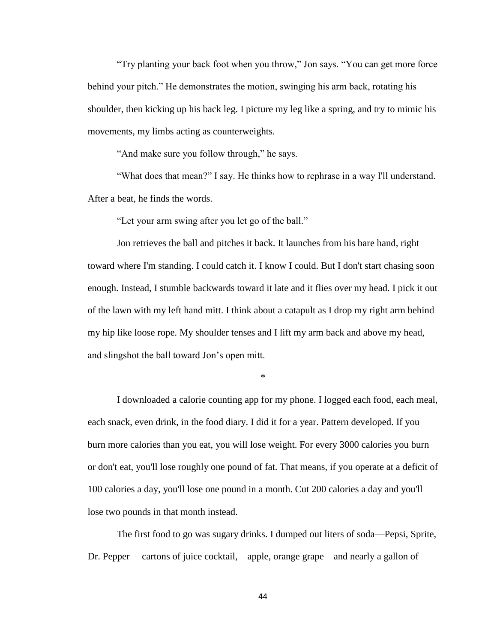"Try planting your back foot when you throw," Jon says. "You can get more force behind your pitch." He demonstrates the motion, swinging his arm back, rotating his shoulder, then kicking up his back leg. I picture my leg like a spring, and try to mimic his movements, my limbs acting as counterweights.

"And make sure you follow through," he says.

"What does that mean?" I say. He thinks how to rephrase in a way I'll understand. After a beat, he finds the words.

"Let your arm swing after you let go of the ball."

Jon retrieves the ball and pitches it back. It launches from his bare hand, right toward where I'm standing. I could catch it. I know I could. But I don't start chasing soon enough. Instead, I stumble backwards toward it late and it flies over my head. I pick it out of the lawn with my left hand mitt. I think about a catapult as I drop my right arm behind my hip like loose rope. My shoulder tenses and I lift my arm back and above my head, and slingshot the ball toward Jon's open mitt.

\*

I downloaded a calorie counting app for my phone. I logged each food, each meal, each snack, even drink, in the food diary. I did it for a year. Pattern developed. If you burn more calories than you eat, you will lose weight. For every 3000 calories you burn or don't eat, you'll lose roughly one pound of fat. That means, if you operate at a deficit of 100 calories a day, you'll lose one pound in a month. Cut 200 calories a day and you'll lose two pounds in that month instead.

The first food to go was sugary drinks. I dumped out liters of soda—Pepsi, Sprite, Dr. Pepper— cartons of juice cocktail,—apple, orange grape—and nearly a gallon of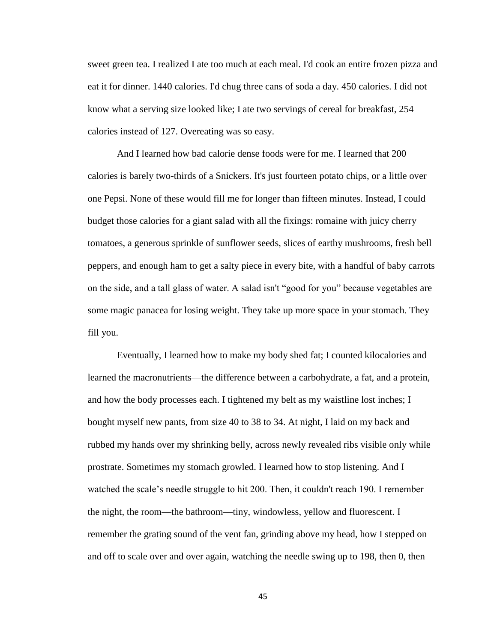sweet green tea. I realized I ate too much at each meal. I'd cook an entire frozen pizza and eat it for dinner. 1440 calories. I'd chug three cans of soda a day. 450 calories. I did not know what a serving size looked like; I ate two servings of cereal for breakfast, 254 calories instead of 127. Overeating was so easy.

And I learned how bad calorie dense foods were for me. I learned that 200 calories is barely two-thirds of a Snickers. It's just fourteen potato chips, or a little over one Pepsi. None of these would fill me for longer than fifteen minutes. Instead, I could budget those calories for a giant salad with all the fixings: romaine with juicy cherry tomatoes, a generous sprinkle of sunflower seeds, slices of earthy mushrooms, fresh bell peppers, and enough ham to get a salty piece in every bite, with a handful of baby carrots on the side, and a tall glass of water. A salad isn't "good for you" because vegetables are some magic panacea for losing weight. They take up more space in your stomach. They fill you.

Eventually, I learned how to make my body shed fat; I counted kilocalories and learned the macronutrients—the difference between a carbohydrate, a fat, and a protein, and how the body processes each. I tightened my belt as my waistline lost inches; I bought myself new pants, from size 40 to 38 to 34. At night, I laid on my back and rubbed my hands over my shrinking belly, across newly revealed ribs visible only while prostrate. Sometimes my stomach growled. I learned how to stop listening. And I watched the scale's needle struggle to hit 200. Then, it couldn't reach 190. I remember the night, the room—the bathroom—tiny, windowless, yellow and fluorescent. I remember the grating sound of the vent fan, grinding above my head, how I stepped on and off to scale over and over again, watching the needle swing up to 198, then 0, then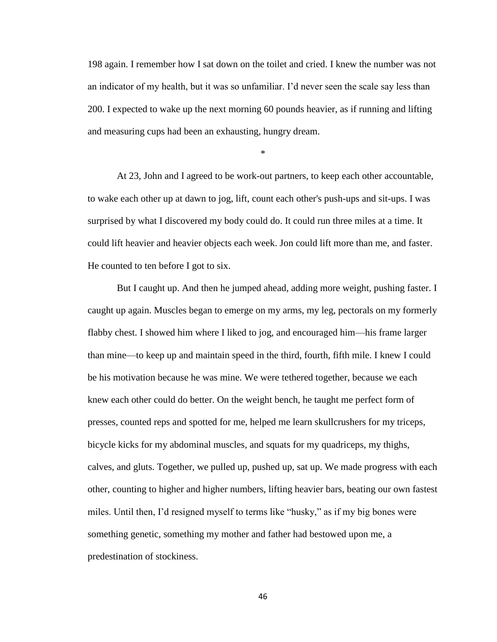198 again. I remember how I sat down on the toilet and cried. I knew the number was not an indicator of my health, but it was so unfamiliar. I'd never seen the scale say less than 200. I expected to wake up the next morning 60 pounds heavier, as if running and lifting and measuring cups had been an exhausting, hungry dream.

\*

At 23, John and I agreed to be work-out partners, to keep each other accountable, to wake each other up at dawn to jog, lift, count each other's push-ups and sit-ups. I was surprised by what I discovered my body could do. It could run three miles at a time. It could lift heavier and heavier objects each week. Jon could lift more than me, and faster. He counted to ten before I got to six.

But I caught up. And then he jumped ahead, adding more weight, pushing faster. I caught up again. Muscles began to emerge on my arms, my leg, pectorals on my formerly flabby chest. I showed him where I liked to jog, and encouraged him—his frame larger than mine—to keep up and maintain speed in the third, fourth, fifth mile. I knew I could be his motivation because he was mine. We were tethered together, because we each knew each other could do better. On the weight bench, he taught me perfect form of presses, counted reps and spotted for me, helped me learn skullcrushers for my triceps, bicycle kicks for my abdominal muscles, and squats for my quadriceps, my thighs, calves, and gluts. Together, we pulled up, pushed up, sat up. We made progress with each other, counting to higher and higher numbers, lifting heavier bars, beating our own fastest miles. Until then, I'd resigned myself to terms like "husky," as if my big bones were something genetic, something my mother and father had bestowed upon me, a predestination of stockiness.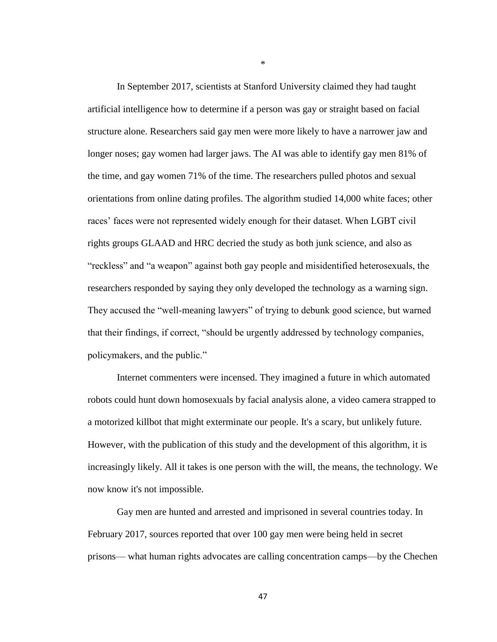In September 2017, scientists at Stanford University claimed they had taught artificial intelligence how to determine if a person was gay or straight based on facial structure alone. Researchers said gay men were more likely to have a narrower jaw and longer noses; gay women had larger jaws. The AI was able to identify gay men 81% of the time, and gay women 71% of the time. The researchers pulled photos and sexual orientations from online dating profiles. The algorithm studied 14,000 white faces; other races' faces were not represented widely enough for their dataset. When LGBT civil rights groups GLAAD and HRC decried the study as both junk science, and also as "reckless" and "a weapon" against both gay people and misidentified heterosexuals, the researchers responded by saying they only developed the technology as a warning sign. They accused the "well-meaning lawyers" of trying to debunk good science, but warned that their findings, if correct, "should be urgently addressed by technology companies, policymakers, and the public."

Internet commenters were incensed. They imagined a future in which automated robots could hunt down homosexuals by facial analysis alone, a video camera strapped to a motorized killbot that might exterminate our people. It's a scary, but unlikely future. However, with the publication of this study and the development of this algorithm, it is increasingly likely. All it takes is one person with the will, the means, the technology. We now know it's not impossible.

Gay men are hunted and arrested and imprisoned in several countries today. In February 2017, sources reported that over 100 gay men were being held in secret prisons— what human rights advocates are calling concentration camps—by the Chechen

\*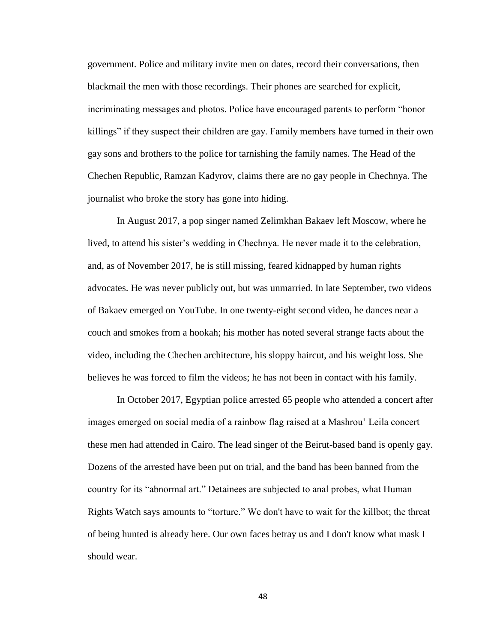government. Police and military invite men on dates, record their conversations, then blackmail the men with those recordings. Their phones are searched for explicit, incriminating messages and photos. Police have encouraged parents to perform "honor killings" if they suspect their children are gay. Family members have turned in their own gay sons and brothers to the police for tarnishing the family names. The Head of the Chechen Republic, Ramzan Kadyrov, claims there are no gay people in Chechnya. The journalist who broke the story has gone into hiding.

In August 2017, a pop singer named Zelimkhan Bakaev left Moscow, where he lived, to attend his sister's wedding in Chechnya. He never made it to the celebration, and, as of November 2017, he is still missing, feared kidnapped by human rights advocates. He was never publicly out, but was unmarried. In late September, two videos of Bakaev emerged on YouTube. In one twenty-eight second video, he dances near a couch and smokes from a hookah; his mother has noted several strange facts about the video, including the Chechen architecture, his sloppy haircut, and his weight loss. She believes he was forced to film the videos; he has not been in contact with his family.

In October 2017, Egyptian police arrested 65 people who attended a concert after images emerged on social media of a rainbow flag raised at a Mashrou' Leila concert these men had attended in Cairo. The lead singer of the Beirut-based band is openly gay. Dozens of the arrested have been put on trial, and the band has been banned from the country for its "abnormal art." Detainees are subjected to anal probes, what Human Rights Watch says amounts to "torture." We don't have to wait for the killbot; the threat of being hunted is already here. Our own faces betray us and I don't know what mask I should wear.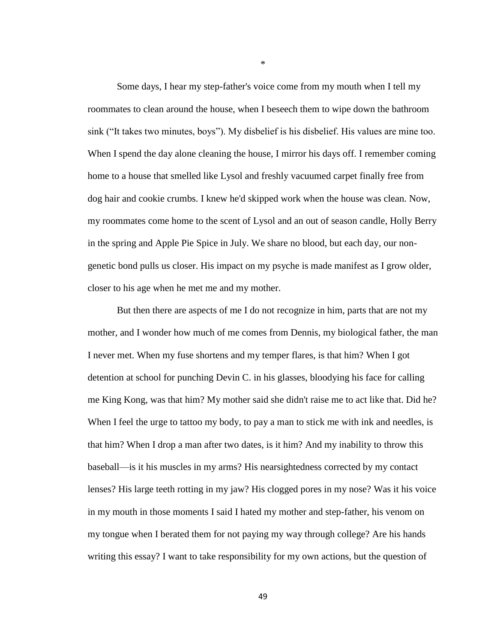Some days, I hear my step-father's voice come from my mouth when I tell my roommates to clean around the house, when I beseech them to wipe down the bathroom sink ("It takes two minutes, boys"). My disbelief is his disbelief. His values are mine too. When I spend the day alone cleaning the house, I mirror his days off. I remember coming home to a house that smelled like Lysol and freshly vacuumed carpet finally free from dog hair and cookie crumbs. I knew he'd skipped work when the house was clean. Now, my roommates come home to the scent of Lysol and an out of season candle, Holly Berry in the spring and Apple Pie Spice in July. We share no blood, but each day, our nongenetic bond pulls us closer. His impact on my psyche is made manifest as I grow older, closer to his age when he met me and my mother.

But then there are aspects of me I do not recognize in him, parts that are not my mother, and I wonder how much of me comes from Dennis, my biological father, the man I never met. When my fuse shortens and my temper flares, is that him? When I got detention at school for punching Devin C. in his glasses, bloodying his face for calling me King Kong, was that him? My mother said she didn't raise me to act like that. Did he? When I feel the urge to tattoo my body, to pay a man to stick me with ink and needles, is that him? When I drop a man after two dates, is it him? And my inability to throw this baseball—is it his muscles in my arms? His nearsightedness corrected by my contact lenses? His large teeth rotting in my jaw? His clogged pores in my nose? Was it his voice in my mouth in those moments I said I hated my mother and step-father, his venom on my tongue when I berated them for not paying my way through college? Are his hands writing this essay? I want to take responsibility for my own actions, but the question of

\*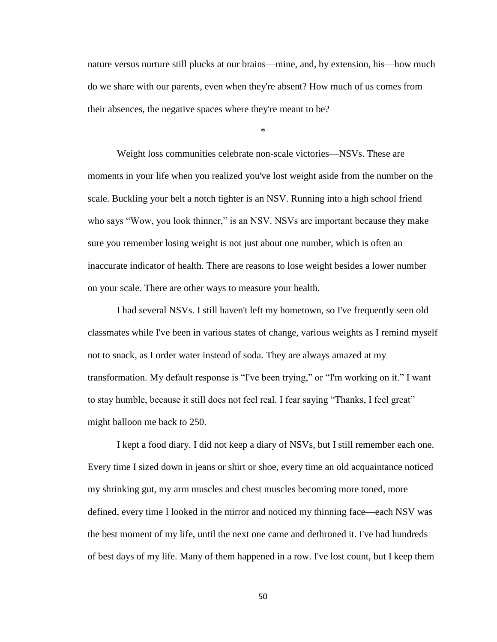nature versus nurture still plucks at our brains—mine, and, by extension, his—how much do we share with our parents, even when they're absent? How much of us comes from their absences, the negative spaces where they're meant to be?

\*

Weight loss communities celebrate non-scale victories—NSVs. These are moments in your life when you realized you've lost weight aside from the number on the scale. Buckling your belt a notch tighter is an NSV. Running into a high school friend who says "Wow, you look thinner," is an NSV. NSVs are important because they make sure you remember losing weight is not just about one number, which is often an inaccurate indicator of health. There are reasons to lose weight besides a lower number on your scale. There are other ways to measure your health.

I had several NSVs. I still haven't left my hometown, so I've frequently seen old classmates while I've been in various states of change, various weights as I remind myself not to snack, as I order water instead of soda. They are always amazed at my transformation. My default response is "I've been trying," or "I'm working on it." I want to stay humble, because it still does not feel real. I fear saying "Thanks, I feel great" might balloon me back to 250.

I kept a food diary. I did not keep a diary of NSVs, but I still remember each one. Every time I sized down in jeans or shirt or shoe, every time an old acquaintance noticed my shrinking gut, my arm muscles and chest muscles becoming more toned, more defined, every time I looked in the mirror and noticed my thinning face—each NSV was the best moment of my life, until the next one came and dethroned it. I've had hundreds of best days of my life. Many of them happened in a row. I've lost count, but I keep them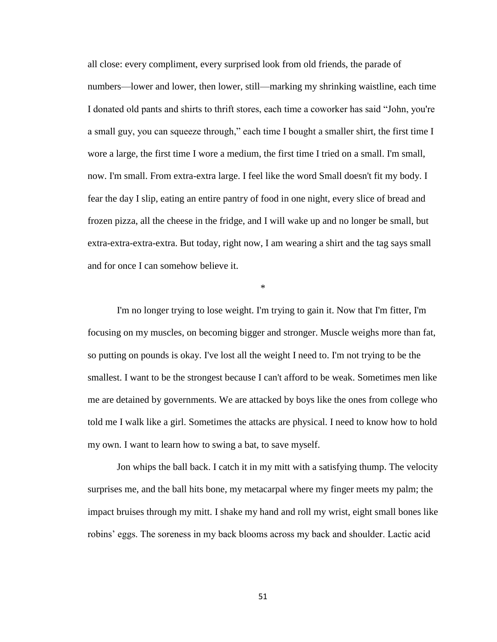all close: every compliment, every surprised look from old friends, the parade of numbers—lower and lower, then lower, still—marking my shrinking waistline, each time I donated old pants and shirts to thrift stores, each time a coworker has said "John, you're a small guy, you can squeeze through," each time I bought a smaller shirt, the first time I wore a large, the first time I wore a medium, the first time I tried on a small. I'm small, now. I'm small. From extra-extra large. I feel like the word Small doesn't fit my body. I fear the day I slip, eating an entire pantry of food in one night, every slice of bread and frozen pizza, all the cheese in the fridge, and I will wake up and no longer be small, but extra-extra-extra-extra. But today, right now, I am wearing a shirt and the tag says small and for once I can somehow believe it.

\*

I'm no longer trying to lose weight. I'm trying to gain it. Now that I'm fitter, I'm focusing on my muscles, on becoming bigger and stronger. Muscle weighs more than fat, so putting on pounds is okay. I've lost all the weight I need to. I'm not trying to be the smallest. I want to be the strongest because I can't afford to be weak. Sometimes men like me are detained by governments. We are attacked by boys like the ones from college who told me I walk like a girl. Sometimes the attacks are physical. I need to know how to hold my own. I want to learn how to swing a bat, to save myself.

Jon whips the ball back. I catch it in my mitt with a satisfying thump. The velocity surprises me, and the ball hits bone, my metacarpal where my finger meets my palm; the impact bruises through my mitt. I shake my hand and roll my wrist, eight small bones like robins' eggs. The soreness in my back blooms across my back and shoulder. Lactic acid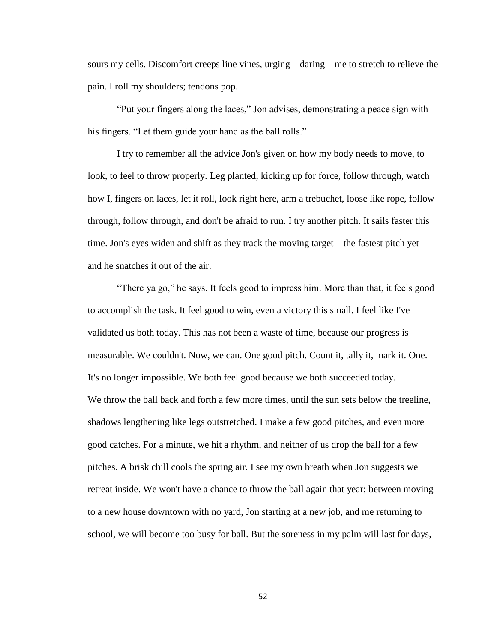sours my cells. Discomfort creeps line vines, urging—daring—me to stretch to relieve the pain. I roll my shoulders; tendons pop.

"Put your fingers along the laces," Jon advises, demonstrating a peace sign with his fingers. "Let them guide your hand as the ball rolls."

I try to remember all the advice Jon's given on how my body needs to move, to look, to feel to throw properly. Leg planted, kicking up for force, follow through, watch how I, fingers on laces, let it roll, look right here, arm a trebuchet, loose like rope, follow through, follow through, and don't be afraid to run. I try another pitch. It sails faster this time. Jon's eyes widen and shift as they track the moving target—the fastest pitch yet and he snatches it out of the air.

"There ya go," he says. It feels good to impress him. More than that, it feels good to accomplish the task. It feel good to win, even a victory this small. I feel like I've validated us both today. This has not been a waste of time, because our progress is measurable. We couldn't. Now, we can. One good pitch. Count it, tally it, mark it. One. It's no longer impossible. We both feel good because we both succeeded today. We throw the ball back and forth a few more times, until the sun sets below the treeline, shadows lengthening like legs outstretched. I make a few good pitches, and even more good catches. For a minute, we hit a rhythm, and neither of us drop the ball for a few pitches. A brisk chill cools the spring air. I see my own breath when Jon suggests we retreat inside. We won't have a chance to throw the ball again that year; between moving to a new house downtown with no yard, Jon starting at a new job, and me returning to school, we will become too busy for ball. But the soreness in my palm will last for days,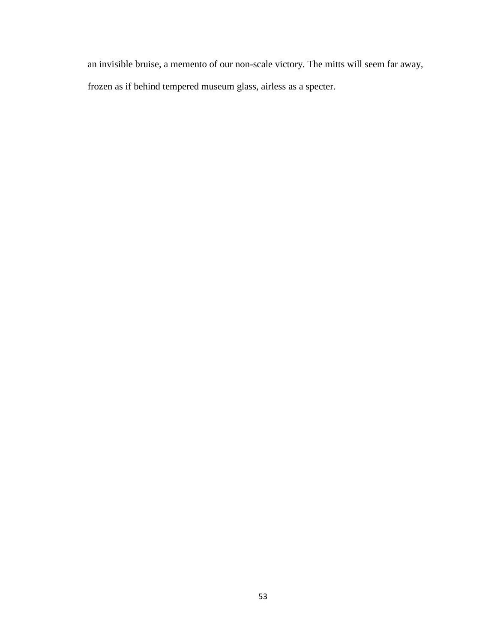an invisible bruise, a memento of our non-scale victory. The mitts will seem far away, frozen as if behind tempered museum glass, airless as a specter.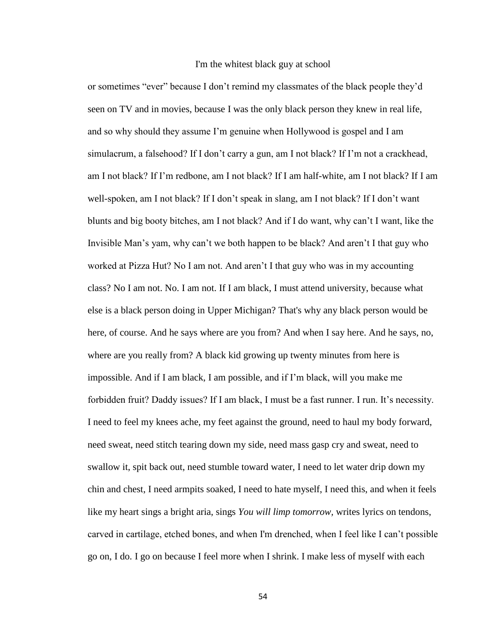## I'm the whitest black guy at school

or sometimes "ever" because I don't remind my classmates of the black people they'd seen on TV and in movies, because I was the only black person they knew in real life, and so why should they assume I'm genuine when Hollywood is gospel and I am simulacrum, a falsehood? If I don't carry a gun, am I not black? If I'm not a crackhead, am I not black? If I'm redbone, am I not black? If I am half-white, am I not black? If I am well-spoken, am I not black? If I don't speak in slang, am I not black? If I don't want blunts and big booty bitches, am I not black? And if I do want, why can't I want, like the Invisible Man's yam, why can't we both happen to be black? And aren't I that guy who worked at Pizza Hut? No I am not. And aren't I that guy who was in my accounting class? No I am not. No. I am not. If I am black, I must attend university, because what else is a black person doing in Upper Michigan? That's why any black person would be here, of course. And he says where are you from? And when I say here. And he says, no, where are you really from? A black kid growing up twenty minutes from here is impossible. And if I am black, I am possible, and if I'm black, will you make me forbidden fruit? Daddy issues? If I am black, I must be a fast runner. I run. It's necessity. I need to feel my knees ache, my feet against the ground, need to haul my body forward, need sweat, need stitch tearing down my side, need mass gasp cry and sweat, need to swallow it, spit back out, need stumble toward water, I need to let water drip down my chin and chest, I need armpits soaked, I need to hate myself, I need this, and when it feels like my heart sings a bright aria, sings *You will limp tomorrow,* writes lyrics on tendons, carved in cartilage, etched bones, and when I'm drenched, when I feel like I can't possible go on, I do. I go on because I feel more when I shrink. I make less of myself with each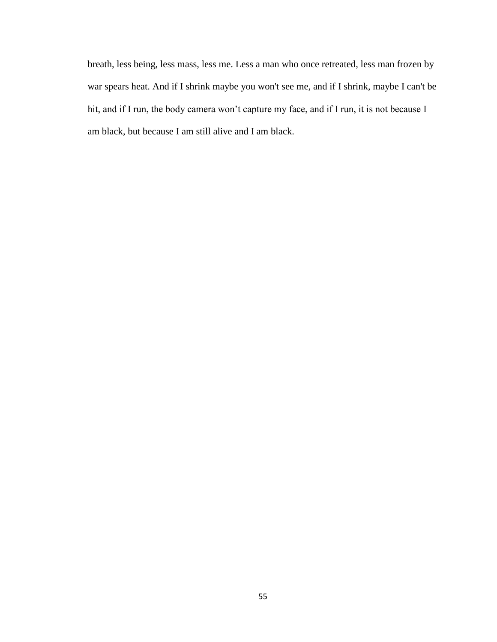breath, less being, less mass, less me. Less a man who once retreated, less man frozen by war spears heat. And if I shrink maybe you won't see me, and if I shrink, maybe I can't be hit, and if I run, the body camera won't capture my face, and if I run, it is not because I am black, but because I am still alive and I am black.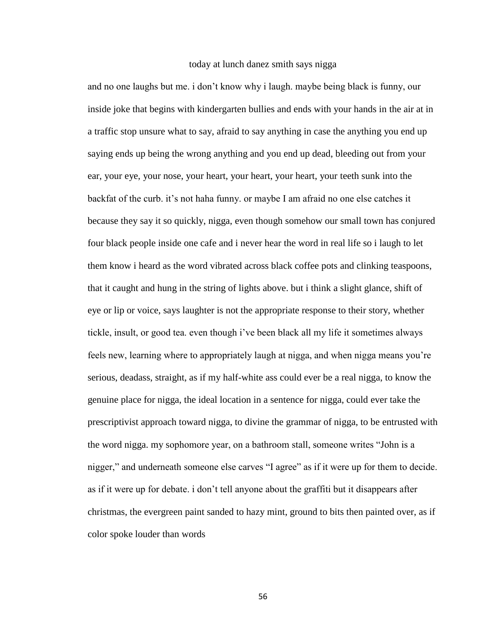## today at lunch danez smith says nigga

and no one laughs but me. i don't know why i laugh. maybe being black is funny, our inside joke that begins with kindergarten bullies and ends with your hands in the air at in a traffic stop unsure what to say, afraid to say anything in case the anything you end up saying ends up being the wrong anything and you end up dead, bleeding out from your ear, your eye, your nose, your heart, your heart, your heart, your teeth sunk into the backfat of the curb. it's not haha funny. or maybe I am afraid no one else catches it because they say it so quickly, nigga, even though somehow our small town has conjured four black people inside one cafe and i never hear the word in real life so i laugh to let them know i heard as the word vibrated across black coffee pots and clinking teaspoons, that it caught and hung in the string of lights above. but i think a slight glance, shift of eye or lip or voice, says laughter is not the appropriate response to their story, whether tickle, insult, or good tea. even though i've been black all my life it sometimes always feels new, learning where to appropriately laugh at nigga, and when nigga means you're serious, deadass, straight, as if my half-white ass could ever be a real nigga, to know the genuine place for nigga, the ideal location in a sentence for nigga, could ever take the prescriptivist approach toward nigga, to divine the grammar of nigga, to be entrusted with the word nigga. my sophomore year, on a bathroom stall, someone writes "John is a nigger," and underneath someone else carves "I agree" as if it were up for them to decide. as if it were up for debate. i don't tell anyone about the graffiti but it disappears after christmas, the evergreen paint sanded to hazy mint, ground to bits then painted over, as if color spoke louder than words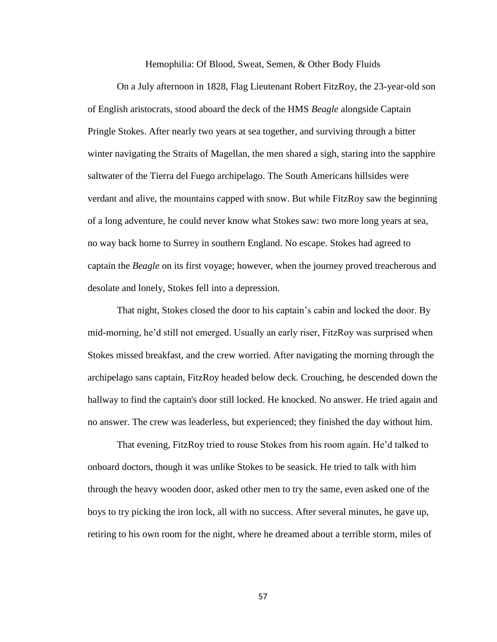Hemophilia: Of Blood, Sweat, Semen, & Other Body Fluids

On a July afternoon in 1828, Flag Lieutenant Robert FitzRoy, the 23-year-old son of English aristocrats, stood aboard the deck of the HMS *Beagle* alongside Captain Pringle Stokes. After nearly two years at sea together, and surviving through a bitter winter navigating the Straits of Magellan, the men shared a sigh, staring into the sapphire saltwater of the Tierra del Fuego archipelago. The South Americans hillsides were verdant and alive, the mountains capped with snow. But while FitzRoy saw the beginning of a long adventure, he could never know what Stokes saw: two more long years at sea, no way back home to Surrey in southern England. No escape. Stokes had agreed to captain the *Beagle* on its first voyage; however, when the journey proved treacherous and desolate and lonely, Stokes fell into a depression.

That night, Stokes closed the door to his captain's cabin and locked the door. By mid-morning, he'd still not emerged. Usually an early riser, FitzRoy was surprised when Stokes missed breakfast, and the crew worried. After navigating the morning through the archipelago sans captain, FitzRoy headed below deck. Crouching, he descended down the hallway to find the captain's door still locked. He knocked. No answer. He tried again and no answer. The crew was leaderless, but experienced; they finished the day without him.

That evening, FitzRoy tried to rouse Stokes from his room again. He'd talked to onboard doctors, though it was unlike Stokes to be seasick. He tried to talk with him through the heavy wooden door, asked other men to try the same, even asked one of the boys to try picking the iron lock, all with no success. After several minutes, he gave up, retiring to his own room for the night, where he dreamed about a terrible storm, miles of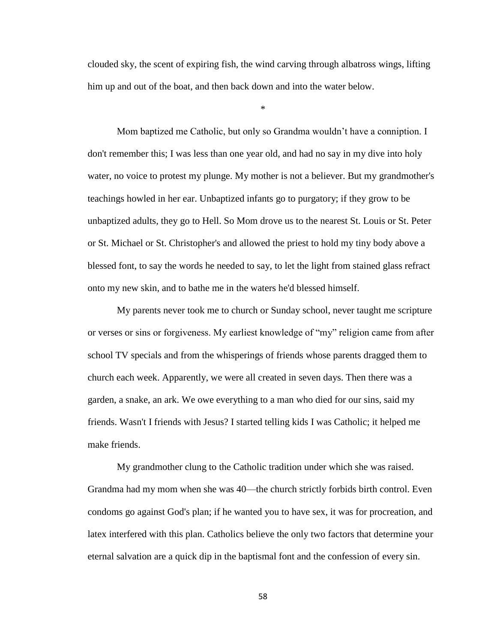clouded sky, the scent of expiring fish, the wind carving through albatross wings, lifting him up and out of the boat, and then back down and into the water below.

\*

Mom baptized me Catholic, but only so Grandma wouldn't have a conniption. I don't remember this; I was less than one year old, and had no say in my dive into holy water, no voice to protest my plunge. My mother is not a believer. But my grandmother's teachings howled in her ear. Unbaptized infants go to purgatory; if they grow to be unbaptized adults, they go to Hell. So Mom drove us to the nearest St. Louis or St. Peter or St. Michael or St. Christopher's and allowed the priest to hold my tiny body above a blessed font, to say the words he needed to say, to let the light from stained glass refract onto my new skin, and to bathe me in the waters he'd blessed himself.

My parents never took me to church or Sunday school, never taught me scripture or verses or sins or forgiveness. My earliest knowledge of "my" religion came from after school TV specials and from the whisperings of friends whose parents dragged them to church each week. Apparently, we were all created in seven days. Then there was a garden, a snake, an ark. We owe everything to a man who died for our sins, said my friends. Wasn't I friends with Jesus? I started telling kids I was Catholic; it helped me make friends.

My grandmother clung to the Catholic tradition under which she was raised. Grandma had my mom when she was 40—the church strictly forbids birth control. Even condoms go against God's plan; if he wanted you to have sex, it was for procreation, and latex interfered with this plan. Catholics believe the only two factors that determine your eternal salvation are a quick dip in the baptismal font and the confession of every sin.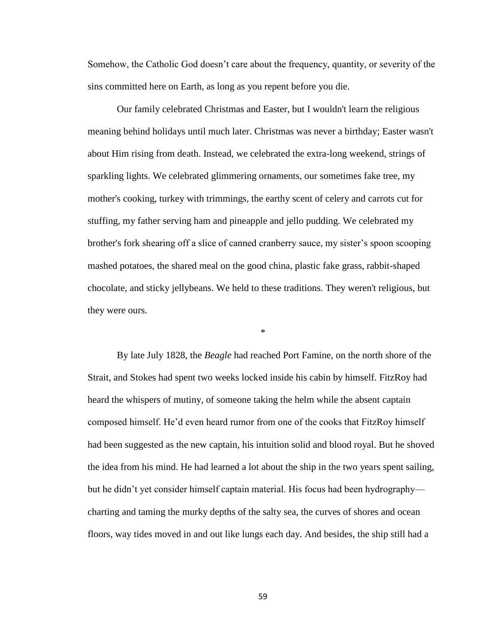Somehow, the Catholic God doesn't care about the frequency, quantity, or severity of the sins committed here on Earth, as long as you repent before you die.

Our family celebrated Christmas and Easter, but I wouldn't learn the religious meaning behind holidays until much later. Christmas was never a birthday; Easter wasn't about Him rising from death. Instead, we celebrated the extra-long weekend, strings of sparkling lights. We celebrated glimmering ornaments, our sometimes fake tree, my mother's cooking, turkey with trimmings, the earthy scent of celery and carrots cut for stuffing, my father serving ham and pineapple and jello pudding. We celebrated my brother's fork shearing off a slice of canned cranberry sauce, my sister's spoon scooping mashed potatoes, the shared meal on the good china, plastic fake grass, rabbit-shaped chocolate, and sticky jellybeans. We held to these traditions. They weren't religious, but they were ours.

\*

By late July 1828, the *Beagle* had reached Port Famine, on the north shore of the Strait, and Stokes had spent two weeks locked inside his cabin by himself. FitzRoy had heard the whispers of mutiny, of someone taking the helm while the absent captain composed himself. He'd even heard rumor from one of the cooks that FitzRoy himself had been suggested as the new captain, his intuition solid and blood royal. But he shoved the idea from his mind. He had learned a lot about the ship in the two years spent sailing, but he didn't yet consider himself captain material. His focus had been hydrography charting and taming the murky depths of the salty sea, the curves of shores and ocean floors, way tides moved in and out like lungs each day. And besides, the ship still had a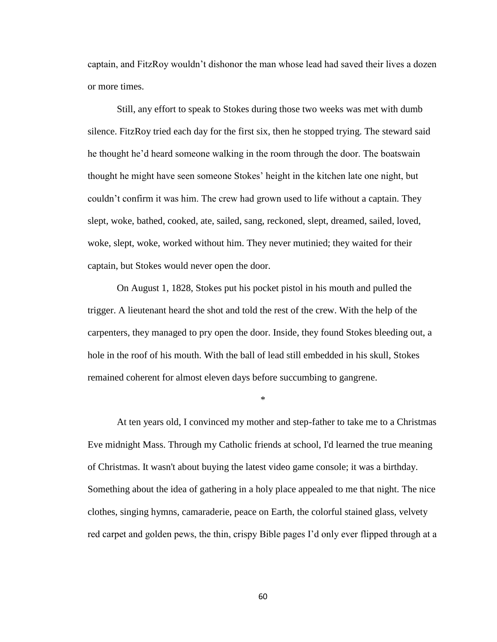captain, and FitzRoy wouldn't dishonor the man whose lead had saved their lives a dozen or more times.

Still, any effort to speak to Stokes during those two weeks was met with dumb silence. FitzRoy tried each day for the first six, then he stopped trying. The steward said he thought he'd heard someone walking in the room through the door. The boatswain thought he might have seen someone Stokes' height in the kitchen late one night, but couldn't confirm it was him. The crew had grown used to life without a captain. They slept, woke, bathed, cooked, ate, sailed, sang, reckoned, slept, dreamed, sailed, loved, woke, slept, woke, worked without him. They never mutinied; they waited for their captain, but Stokes would never open the door.

On August 1, 1828, Stokes put his pocket pistol in his mouth and pulled the trigger. A lieutenant heard the shot and told the rest of the crew. With the help of the carpenters, they managed to pry open the door. Inside, they found Stokes bleeding out, a hole in the roof of his mouth. With the ball of lead still embedded in his skull, Stokes remained coherent for almost eleven days before succumbing to gangrene.

\*

At ten years old, I convinced my mother and step-father to take me to a Christmas Eve midnight Mass. Through my Catholic friends at school, I'd learned the true meaning of Christmas. It wasn't about buying the latest video game console; it was a birthday. Something about the idea of gathering in a holy place appealed to me that night. The nice clothes, singing hymns, camaraderie, peace on Earth, the colorful stained glass, velvety red carpet and golden pews, the thin, crispy Bible pages I'd only ever flipped through at a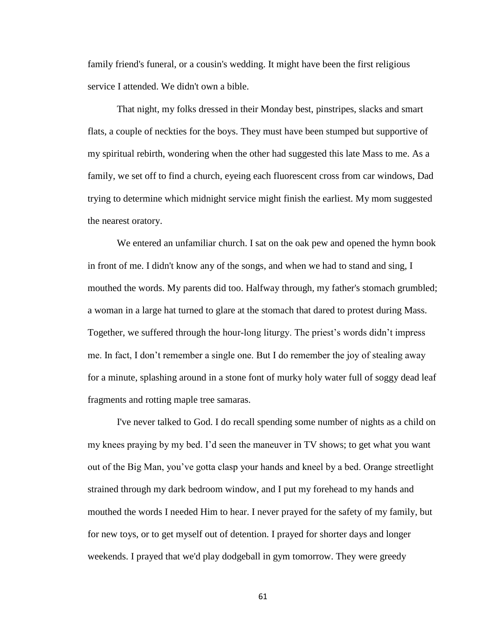family friend's funeral, or a cousin's wedding. It might have been the first religious service I attended. We didn't own a bible.

That night, my folks dressed in their Monday best, pinstripes, slacks and smart flats, a couple of neckties for the boys. They must have been stumped but supportive of my spiritual rebirth, wondering when the other had suggested this late Mass to me. As a family, we set off to find a church, eyeing each fluorescent cross from car windows, Dad trying to determine which midnight service might finish the earliest. My mom suggested the nearest oratory.

We entered an unfamiliar church. I sat on the oak pew and opened the hymn book in front of me. I didn't know any of the songs, and when we had to stand and sing, I mouthed the words. My parents did too. Halfway through, my father's stomach grumbled; a woman in a large hat turned to glare at the stomach that dared to protest during Mass. Together, we suffered through the hour-long liturgy. The priest's words didn't impress me. In fact, I don't remember a single one. But I do remember the joy of stealing away for a minute, splashing around in a stone font of murky holy water full of soggy dead leaf fragments and rotting maple tree samaras.

I've never talked to God. I do recall spending some number of nights as a child on my knees praying by my bed. I'd seen the maneuver in TV shows; to get what you want out of the Big Man, you've gotta clasp your hands and kneel by a bed. Orange streetlight strained through my dark bedroom window, and I put my forehead to my hands and mouthed the words I needed Him to hear. I never prayed for the safety of my family, but for new toys, or to get myself out of detention. I prayed for shorter days and longer weekends. I prayed that we'd play dodgeball in gym tomorrow. They were greedy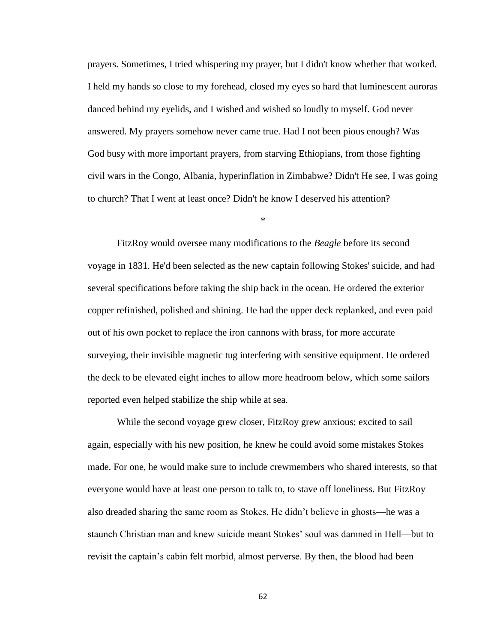prayers. Sometimes, I tried whispering my prayer, but I didn't know whether that worked. I held my hands so close to my forehead, closed my eyes so hard that luminescent auroras danced behind my eyelids, and I wished and wished so loudly to myself. God never answered. My prayers somehow never came true. Had I not been pious enough? Was God busy with more important prayers, from starving Ethiopians, from those fighting civil wars in the Congo, Albania, hyperinflation in Zimbabwe? Didn't He see, I was going to church? That I went at least once? Didn't he know I deserved his attention?

\*

FitzRoy would oversee many modifications to the *Beagle* before its second voyage in 1831. He'd been selected as the new captain following Stokes' suicide, and had several specifications before taking the ship back in the ocean. He ordered the exterior copper refinished, polished and shining. He had the upper deck replanked, and even paid out of his own pocket to replace the iron cannons with brass, for more accurate surveying, their invisible magnetic tug interfering with sensitive equipment. He ordered the deck to be elevated eight inches to allow more headroom below, which some sailors reported even helped stabilize the ship while at sea.

While the second voyage grew closer, FitzRoy grew anxious; excited to sail again, especially with his new position, he knew he could avoid some mistakes Stokes made. For one, he would make sure to include crewmembers who shared interests, so that everyone would have at least one person to talk to, to stave off loneliness. But FitzRoy also dreaded sharing the same room as Stokes. He didn't believe in ghosts—he was a staunch Christian man and knew suicide meant Stokes' soul was damned in Hell—but to revisit the captain's cabin felt morbid, almost perverse. By then, the blood had been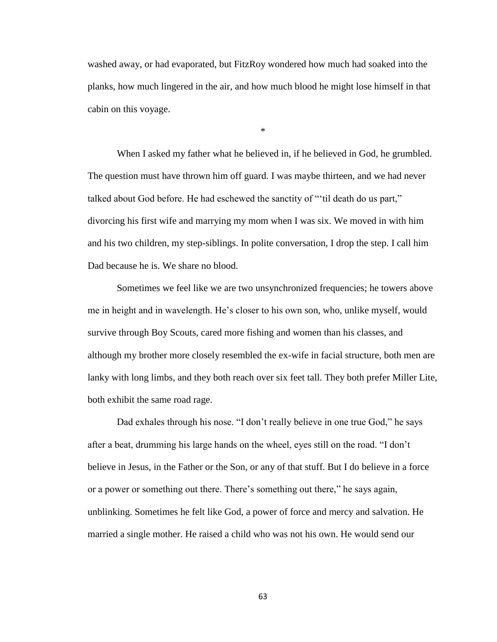washed away, or had evaporated, but FitzRoy wondered how much had soaked into the planks, how much lingered in the air, and how much blood he might lose himself in that cabin on this voyage.

\*

When I asked my father what he believed in, if he believed in God, he grumbled. The question must have thrown him off guard. I was maybe thirteen, and we had never talked about God before. He had eschewed the sanctity of "'til death do us part," divorcing his first wife and marrying my mom when I was six. We moved in with him and his two children, my step-siblings. In polite conversation, I drop the step. I call him Dad because he is. We share no blood.

Sometimes we feel like we are two unsynchronized frequencies; he towers above me in height and in wavelength. He's closer to his own son, who, unlike myself, would survive through Boy Scouts, cared more fishing and women than his classes, and although my brother more closely resembled the ex-wife in facial structure, both men are lanky with long limbs, and they both reach over six feet tall. They both prefer Miller Lite, both exhibit the same road rage.

Dad exhales through his nose. "I don't really believe in one true God," he says after a beat, drumming his large hands on the wheel, eyes still on the road. "I don't believe in Jesus, in the Father or the Son, or any of that stuff. But I do believe in a force or a power or something out there. There's something out there," he says again, unblinking. Sometimes he felt like God, a power of force and mercy and salvation. He married a single mother. He raised a child who was not his own. He would send our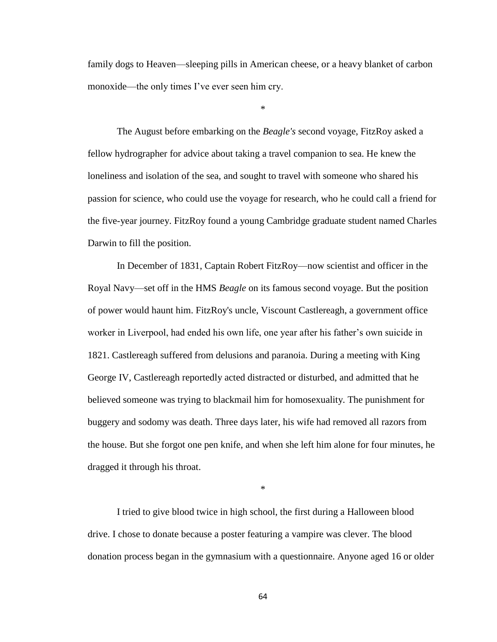family dogs to Heaven—sleeping pills in American cheese, or a heavy blanket of carbon monoxide—the only times I've ever seen him cry.

\*

The August before embarking on the *Beagle's* second voyage, FitzRoy asked a fellow hydrographer for advice about taking a travel companion to sea. He knew the loneliness and isolation of the sea, and sought to travel with someone who shared his passion for science, who could use the voyage for research, who he could call a friend for the five-year journey. FitzRoy found a young Cambridge graduate student named Charles Darwin to fill the position.

In December of 1831, Captain Robert FitzRoy—now scientist and officer in the Royal Navy—set off in the HMS *Beagle* on its famous second voyage. But the position of power would haunt him. FitzRoy's uncle, Viscount Castlereagh, a government office worker in Liverpool, had ended his own life, one year after his father's own suicide in 1821. Castlereagh suffered from delusions and paranoia. During a meeting with King George IV, Castlereagh reportedly acted distracted or disturbed, and admitted that he believed someone was trying to blackmail him for homosexuality. The punishment for buggery and sodomy was death. Three days later, his wife had removed all razors from the house. But she forgot one pen knife, and when she left him alone for four minutes, he dragged it through his throat.

\*

I tried to give blood twice in high school, the first during a Halloween blood drive. I chose to donate because a poster featuring a vampire was clever. The blood donation process began in the gymnasium with a questionnaire. Anyone aged 16 or older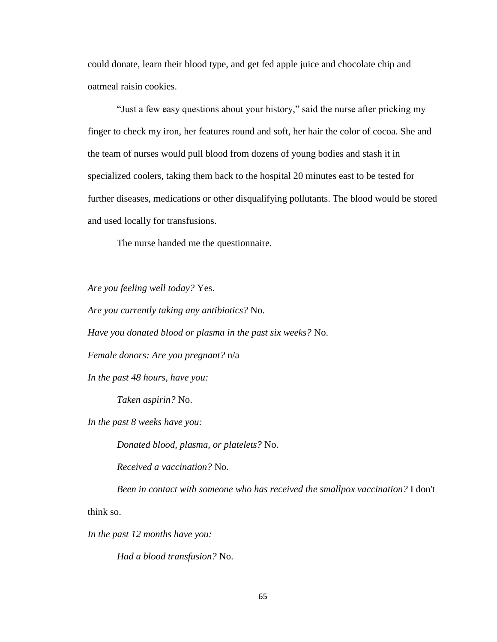could donate, learn their blood type, and get fed apple juice and chocolate chip and oatmeal raisin cookies.

"Just a few easy questions about your history," said the nurse after pricking my finger to check my iron, her features round and soft, her hair the color of cocoa. She and the team of nurses would pull blood from dozens of young bodies and stash it in specialized coolers, taking them back to the hospital 20 minutes east to be tested for further diseases, medications or other disqualifying pollutants. The blood would be stored and used locally for transfusions.

The nurse handed me the questionnaire.

*Are you feeling well today?* Yes.

*Are you currently taking any antibiotics?* No.

*Have you donated blood or plasma in the past six weeks?* No.

*Female donors: Are you pregnant?* n/a

*In the past 48 hours, have you:*

*Taken aspirin?* No.

*In the past 8 weeks have you:*

*Donated blood, plasma, or platelets?* No.

*Received a vaccination?* No.

*Been in contact with someone who has received the smallpox vaccination?* I don't

think so.

*In the past 12 months have you:*

*Had a blood transfusion?* No.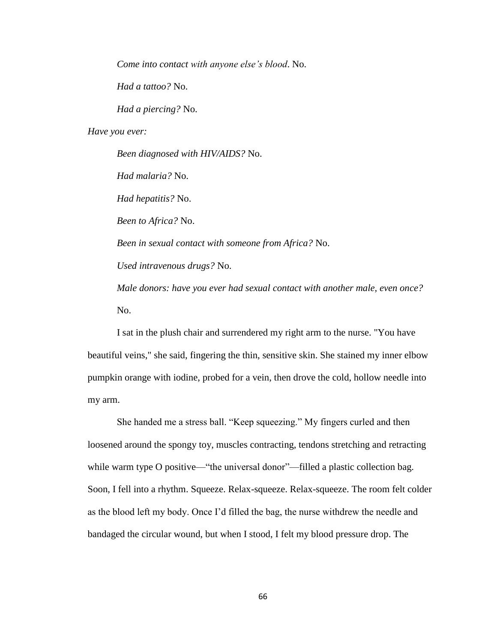*Come into contact with anyone else's blood*. No.

*Had a tattoo?* No.

*Had a piercing?* No.

*Have you ever:*

*Been diagnosed with HIV/AIDS?* No. *Had malaria?* No. *Had hepatitis?* No. *Been to Africa?* No. *Been in sexual contact with someone from Africa?* No. *Used intravenous drugs?* No. *Male donors: have you ever had sexual contact with another male, even once?* No.

I sat in the plush chair and surrendered my right arm to the nurse. "You have beautiful veins," she said, fingering the thin, sensitive skin. She stained my inner elbow pumpkin orange with iodine, probed for a vein, then drove the cold, hollow needle into my arm.

She handed me a stress ball. "Keep squeezing." My fingers curled and then loosened around the spongy toy, muscles contracting, tendons stretching and retracting while warm type O positive—"the universal donor"—filled a plastic collection bag. Soon, I fell into a rhythm. Squeeze. Relax-squeeze. Relax-squeeze. The room felt colder as the blood left my body. Once I'd filled the bag, the nurse withdrew the needle and bandaged the circular wound, but when I stood, I felt my blood pressure drop. The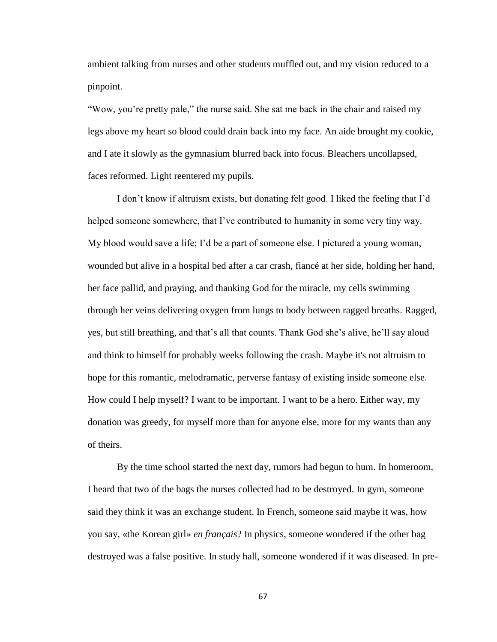ambient talking from nurses and other students muffled out, and my vision reduced to a pinpoint.

"Wow, you're pretty pale," the nurse said. She sat me back in the chair and raised my legs above my heart so blood could drain back into my face. An aide brought my cookie, and I ate it slowly as the gymnasium blurred back into focus. Bleachers uncollapsed, faces reformed. Light reentered my pupils.

I don't know if altruism exists, but donating felt good. I liked the feeling that I'd helped someone somewhere, that I've contributed to humanity in some very tiny way. My blood would save a life; I'd be a part of someone else. I pictured a young woman, wounded but alive in a hospital bed after a car crash, fiancé at her side, holding her hand, her face pallid, and praying, and thanking God for the miracle, my cells swimming through her veins delivering oxygen from lungs to body between ragged breaths. Ragged, yes, but still breathing, and that's all that counts. Thank God she's alive, he'll say aloud and think to himself for probably weeks following the crash. Maybe it's not altruism to hope for this romantic, melodramatic, perverse fantasy of existing inside someone else. How could I help myself? I want to be important. I want to be a hero. Either way, my donation was greedy, for myself more than for anyone else, more for my wants than any of theirs.

By the time school started the next day, rumors had begun to hum. In homeroom, I heard that two of the bags the nurses collected had to be destroyed. In gym, someone said they think it was an exchange student. In French, someone said maybe it was, how you say, «the Korean girl» *en français*? In physics, someone wondered if the other bag destroyed was a false positive. In study hall, someone wondered if it was diseased. In pre-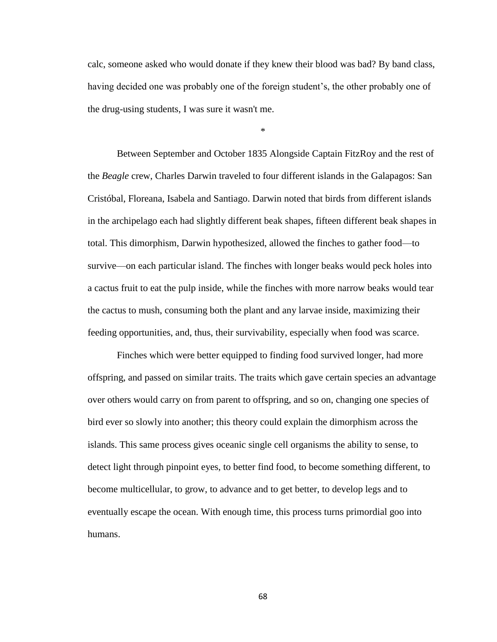calc, someone asked who would donate if they knew their blood was bad? By band class, having decided one was probably one of the foreign student's, the other probably one of the drug-using students, I was sure it wasn't me.

\*

Between September and October 1835 Alongside Captain FitzRoy and the rest of the *Beagle* crew, Charles Darwin traveled to four different islands in the Galapagos: San Cristóbal, Floreana, Isabela and Santiago. Darwin noted that birds from different islands in the archipelago each had slightly different beak shapes, fifteen different beak shapes in total. This dimorphism, Darwin hypothesized, allowed the finches to gather food—to survive—on each particular island. The finches with longer beaks would peck holes into a cactus fruit to eat the pulp inside, while the finches with more narrow beaks would tear the cactus to mush, consuming both the plant and any larvae inside, maximizing their feeding opportunities, and, thus, their survivability, especially when food was scarce.

Finches which were better equipped to finding food survived longer, had more offspring, and passed on similar traits. The traits which gave certain species an advantage over others would carry on from parent to offspring, and so on, changing one species of bird ever so slowly into another; this theory could explain the dimorphism across the islands. This same process gives oceanic single cell organisms the ability to sense, to detect light through pinpoint eyes, to better find food, to become something different, to become multicellular, to grow, to advance and to get better, to develop legs and to eventually escape the ocean. With enough time, this process turns primordial goo into humans.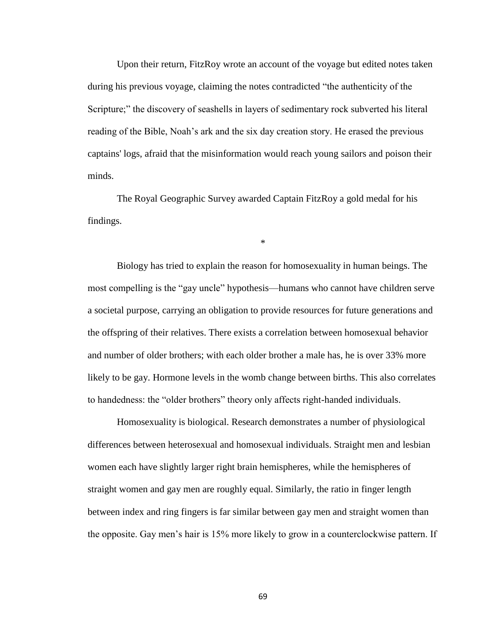Upon their return, FitzRoy wrote an account of the voyage but edited notes taken during his previous voyage, claiming the notes contradicted "the authenticity of the Scripture;" the discovery of seashells in layers of sedimentary rock subverted his literal reading of the Bible, Noah's ark and the six day creation story. He erased the previous captains' logs, afraid that the misinformation would reach young sailors and poison their minds.

The Royal Geographic Survey awarded Captain FitzRoy a gold medal for his findings.

\*

Biology has tried to explain the reason for homosexuality in human beings. The most compelling is the "gay uncle" hypothesis—humans who cannot have children serve a societal purpose, carrying an obligation to provide resources for future generations and the offspring of their relatives. There exists a correlation between homosexual behavior and number of older brothers; with each older brother a male has, he is over 33% more likely to be gay. Hormone levels in the womb change between births. This also correlates to handedness: the "older brothers" theory only affects right-handed individuals.

Homosexuality is biological. Research demonstrates a number of physiological differences between heterosexual and homosexual individuals. Straight men and lesbian women each have slightly larger right brain hemispheres, while the hemispheres of straight women and gay men are roughly equal. Similarly, the ratio in finger length between index and ring fingers is far similar between gay men and straight women than the opposite. Gay men's hair is 15% more likely to grow in a counterclockwise pattern. If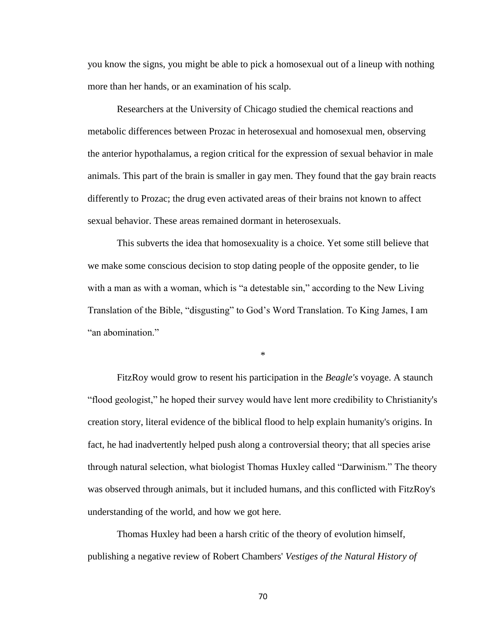you know the signs, you might be able to pick a homosexual out of a lineup with nothing more than her hands, or an examination of his scalp.

Researchers at the University of Chicago studied the chemical reactions and metabolic differences between Prozac in heterosexual and homosexual men, observing the anterior hypothalamus, a region critical for the expression of sexual behavior in male animals. This part of the brain is smaller in gay men. They found that the gay brain reacts differently to Prozac; the drug even activated areas of their brains not known to affect sexual behavior. These areas remained dormant in heterosexuals.

This subverts the idea that homosexuality is a choice. Yet some still believe that we make some conscious decision to stop dating people of the opposite gender, to lie with a man as with a woman, which is "a detestable sin," according to the New Living Translation of the Bible, "disgusting" to God's Word Translation. To King James, I am "an abomination."

\*

FitzRoy would grow to resent his participation in the *Beagle's* voyage. A staunch "flood geologist," he hoped their survey would have lent more credibility to Christianity's creation story, literal evidence of the biblical flood to help explain humanity's origins. In fact, he had inadvertently helped push along a controversial theory; that all species arise through natural selection, what biologist Thomas Huxley called "Darwinism." The theory was observed through animals, but it included humans, and this conflicted with FitzRoy's understanding of the world, and how we got here.

Thomas Huxley had been a harsh critic of the theory of evolution himself, publishing a negative review of Robert Chambers' *Vestiges of the Natural History of*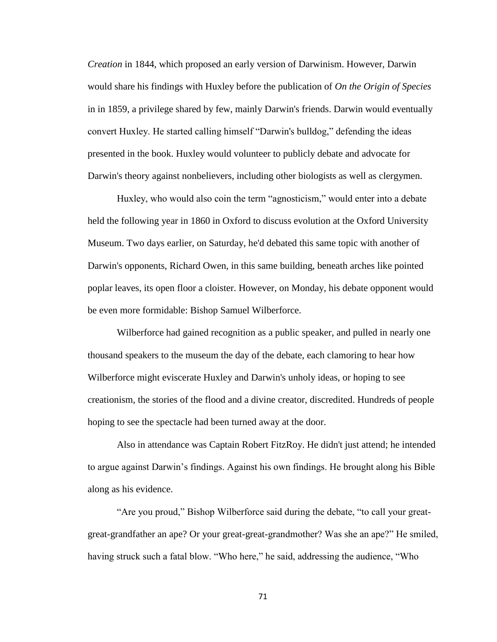*Creation* in 1844, which proposed an early version of Darwinism. However, Darwin would share his findings with Huxley before the publication of *On the Origin of Species* in in 1859, a privilege shared by few, mainly Darwin's friends. Darwin would eventually convert Huxley. He started calling himself "Darwin's bulldog," defending the ideas presented in the book. Huxley would volunteer to publicly debate and advocate for Darwin's theory against nonbelievers, including other biologists as well as clergymen.

Huxley, who would also coin the term "agnosticism," would enter into a debate held the following year in 1860 in Oxford to discuss evolution at the Oxford University Museum. Two days earlier, on Saturday, he'd debated this same topic with another of Darwin's opponents, Richard Owen, in this same building, beneath arches like pointed poplar leaves, its open floor a cloister. However, on Monday, his debate opponent would be even more formidable: Bishop Samuel Wilberforce.

Wilberforce had gained recognition as a public speaker, and pulled in nearly one thousand speakers to the museum the day of the debate, each clamoring to hear how Wilberforce might eviscerate Huxley and Darwin's unholy ideas, or hoping to see creationism, the stories of the flood and a divine creator, discredited. Hundreds of people hoping to see the spectacle had been turned away at the door.

Also in attendance was Captain Robert FitzRoy. He didn't just attend; he intended to argue against Darwin's findings. Against his own findings. He brought along his Bible along as his evidence.

"Are you proud," Bishop Wilberforce said during the debate, "to call your greatgreat-grandfather an ape? Or your great-great-grandmother? Was she an ape?" He smiled, having struck such a fatal blow. "Who here," he said, addressing the audience, "Who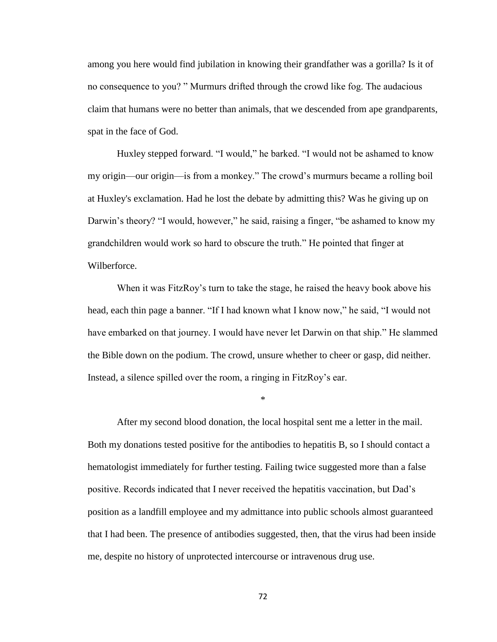among you here would find jubilation in knowing their grandfather was a gorilla? Is it of no consequence to you? " Murmurs drifted through the crowd like fog. The audacious claim that humans were no better than animals, that we descended from ape grandparents, spat in the face of God.

Huxley stepped forward. "I would," he barked. "I would not be ashamed to know my origin—our origin—is from a monkey." The crowd's murmurs became a rolling boil at Huxley's exclamation. Had he lost the debate by admitting this? Was he giving up on Darwin's theory? "I would, however," he said, raising a finger, "be ashamed to know my grandchildren would work so hard to obscure the truth." He pointed that finger at Wilberforce.

When it was FitzRoy's turn to take the stage, he raised the heavy book above his head, each thin page a banner. "If I had known what I know now," he said, "I would not have embarked on that journey. I would have never let Darwin on that ship." He slammed the Bible down on the podium. The crowd, unsure whether to cheer or gasp, did neither. Instead, a silence spilled over the room, a ringing in FitzRoy's ear.

\*

After my second blood donation, the local hospital sent me a letter in the mail. Both my donations tested positive for the antibodies to hepatitis B, so I should contact a hematologist immediately for further testing. Failing twice suggested more than a false positive. Records indicated that I never received the hepatitis vaccination, but Dad's position as a landfill employee and my admittance into public schools almost guaranteed that I had been. The presence of antibodies suggested, then, that the virus had been inside me, despite no history of unprotected intercourse or intravenous drug use.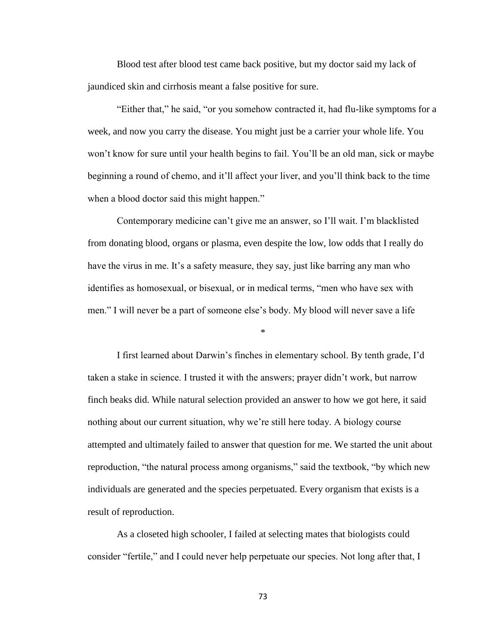Blood test after blood test came back positive, but my doctor said my lack of jaundiced skin and cirrhosis meant a false positive for sure.

"Either that," he said, "or you somehow contracted it, had flu-like symptoms for a week, and now you carry the disease. You might just be a carrier your whole life. You won't know for sure until your health begins to fail. You'll be an old man, sick or maybe beginning a round of chemo, and it'll affect your liver, and you'll think back to the time when a blood doctor said this might happen."

Contemporary medicine can't give me an answer, so I'll wait. I'm blacklisted from donating blood, organs or plasma, even despite the low, low odds that I really do have the virus in me. It's a safety measure, they say, just like barring any man who identifies as homosexual, or bisexual, or in medical terms, "men who have sex with men." I will never be a part of someone else's body. My blood will never save a life

\*

I first learned about Darwin's finches in elementary school. By tenth grade, I'd taken a stake in science. I trusted it with the answers; prayer didn't work, but narrow finch beaks did. While natural selection provided an answer to how we got here, it said nothing about our current situation, why we're still here today. A biology course attempted and ultimately failed to answer that question for me. We started the unit about reproduction, "the natural process among organisms," said the textbook, "by which new individuals are generated and the species perpetuated. Every organism that exists is a result of reproduction.

As a closeted high schooler, I failed at selecting mates that biologists could consider "fertile," and I could never help perpetuate our species. Not long after that, I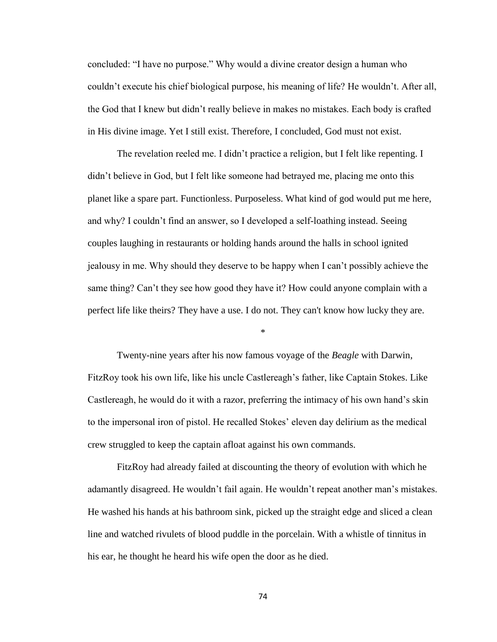concluded: "I have no purpose." Why would a divine creator design a human who couldn't execute his chief biological purpose, his meaning of life? He wouldn't. After all, the God that I knew but didn't really believe in makes no mistakes. Each body is crafted in His divine image. Yet I still exist. Therefore, I concluded, God must not exist.

The revelation reeled me. I didn't practice a religion, but I felt like repenting. I didn't believe in God, but I felt like someone had betrayed me, placing me onto this planet like a spare part. Functionless. Purposeless. What kind of god would put me here, and why? I couldn't find an answer, so I developed a self-loathing instead. Seeing couples laughing in restaurants or holding hands around the halls in school ignited jealousy in me. Why should they deserve to be happy when I can't possibly achieve the same thing? Can't they see how good they have it? How could anyone complain with a perfect life like theirs? They have a use. I do not. They can't know how lucky they are.

\*

Twenty-nine years after his now famous voyage of the *Beagle* with Darwin, FitzRoy took his own life, like his uncle Castlereagh's father, like Captain Stokes. Like Castlereagh, he would do it with a razor, preferring the intimacy of his own hand's skin to the impersonal iron of pistol. He recalled Stokes' eleven day delirium as the medical crew struggled to keep the captain afloat against his own commands.

FitzRoy had already failed at discounting the theory of evolution with which he adamantly disagreed. He wouldn't fail again. He wouldn't repeat another man's mistakes. He washed his hands at his bathroom sink, picked up the straight edge and sliced a clean line and watched rivulets of blood puddle in the porcelain. With a whistle of tinnitus in his ear, he thought he heard his wife open the door as he died.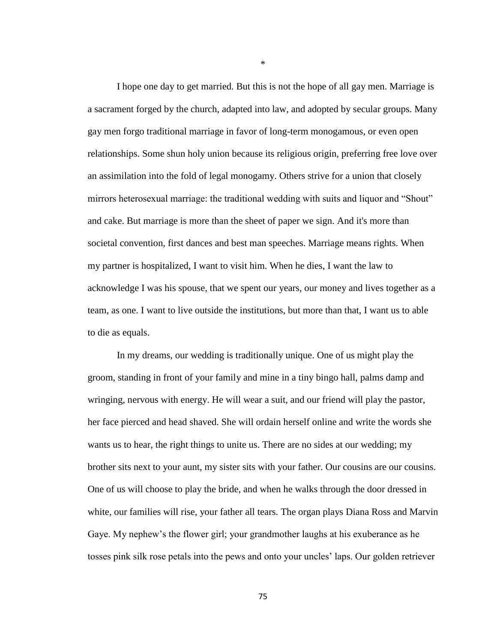I hope one day to get married. But this is not the hope of all gay men. Marriage is a sacrament forged by the church, adapted into law, and adopted by secular groups. Many gay men forgo traditional marriage in favor of long-term monogamous, or even open relationships. Some shun holy union because its religious origin, preferring free love over an assimilation into the fold of legal monogamy. Others strive for a union that closely mirrors heterosexual marriage: the traditional wedding with suits and liquor and "Shout" and cake. But marriage is more than the sheet of paper we sign. And it's more than societal convention, first dances and best man speeches. Marriage means rights. When my partner is hospitalized, I want to visit him. When he dies, I want the law to acknowledge I was his spouse, that we spent our years, our money and lives together as a team, as one. I want to live outside the institutions, but more than that, I want us to able to die as equals.

In my dreams, our wedding is traditionally unique. One of us might play the groom, standing in front of your family and mine in a tiny bingo hall, palms damp and wringing, nervous with energy. He will wear a suit, and our friend will play the pastor, her face pierced and head shaved. She will ordain herself online and write the words she wants us to hear, the right things to unite us. There are no sides at our wedding; my brother sits next to your aunt, my sister sits with your father. Our cousins are our cousins. One of us will choose to play the bride, and when he walks through the door dressed in white, our families will rise, your father all tears. The organ plays Diana Ross and Marvin Gaye. My nephew's the flower girl; your grandmother laughs at his exuberance as he tosses pink silk rose petals into the pews and onto your uncles' laps. Our golden retriever

\*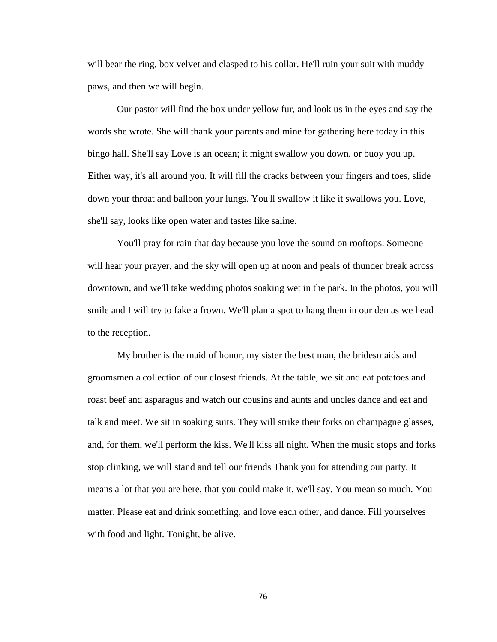will bear the ring, box velvet and clasped to his collar. He'll ruin your suit with muddy paws, and then we will begin.

Our pastor will find the box under yellow fur, and look us in the eyes and say the words she wrote. She will thank your parents and mine for gathering here today in this bingo hall. She'll say Love is an ocean; it might swallow you down, or buoy you up. Either way, it's all around you. It will fill the cracks between your fingers and toes, slide down your throat and balloon your lungs. You'll swallow it like it swallows you. Love, she'll say, looks like open water and tastes like saline.

You'll pray for rain that day because you love the sound on rooftops. Someone will hear your prayer, and the sky will open up at noon and peals of thunder break across downtown, and we'll take wedding photos soaking wet in the park. In the photos, you will smile and I will try to fake a frown. We'll plan a spot to hang them in our den as we head to the reception.

My brother is the maid of honor, my sister the best man, the bridesmaids and groomsmen a collection of our closest friends. At the table, we sit and eat potatoes and roast beef and asparagus and watch our cousins and aunts and uncles dance and eat and talk and meet. We sit in soaking suits. They will strike their forks on champagne glasses, and, for them, we'll perform the kiss. We'll kiss all night. When the music stops and forks stop clinking, we will stand and tell our friends Thank you for attending our party. It means a lot that you are here, that you could make it, we'll say. You mean so much. You matter. Please eat and drink something, and love each other, and dance. Fill yourselves with food and light. Tonight, be alive.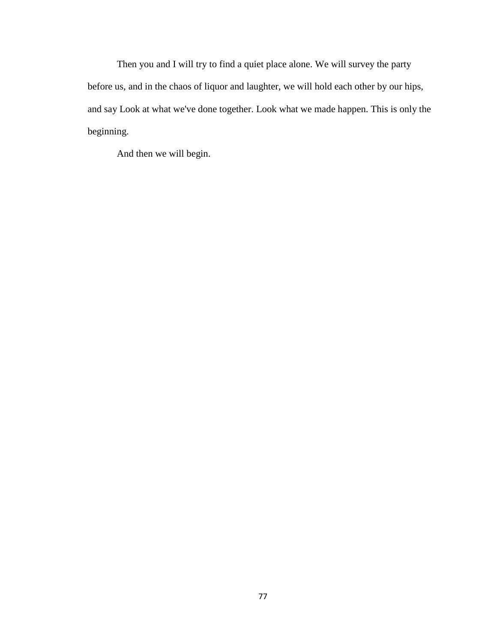Then you and I will try to find a quiet place alone. We will survey the party before us, and in the chaos of liquor and laughter, we will hold each other by our hips, and say Look at what we've done together. Look what we made happen. This is only the beginning.

And then we will begin.